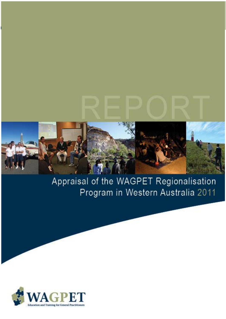

# Appraisal of the WAGPET Regionalisation Program in Western Australia 2011

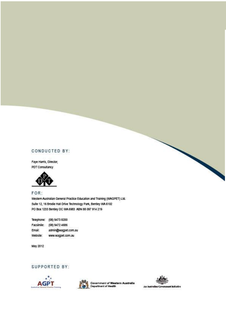# CONDUCTED BY:

Faye Harris, Director, PDT Consultancy



# FOR:

Western Australian General Practice Education and Training (WAGPET) Ltd. Suite 12, 16 Brodie Hall Drive Technology Park, Bentley WA 6102 PO Box 1233 Bentley DC WA 6983 ABN 88 097 914 219

Telephone: (08) 9473 8200 Facsimile: (08) 9472 4686 **Email:** admin@wagpet.com.au Website: www.wagpet.com.au

May 2012

# SUPPORTED BY:





Government of Western Australia<br>Department of Health

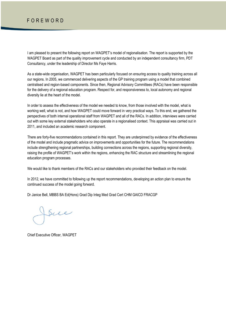# F O R E W O R D

I am pleased to present the following report on WAGPET"s model of regionalisation. The report is supported by the WAGPET Board as part of the quality improvement cycle and conducted by an independent consultancy firm, PDT Consultancy, under the leadership of Director Ms Faye Harris.

As a state-wide organisation, WAGPET has been particularly focused on ensuring access to quality training across all our regions. In 2005, we commenced delivering aspects of the GP training program using a model that combined centralised and region-based components. Since then, Regional Advisory Committees (RACs) have been responsible for the delivery of a regional education program. Respect for, and responsiveness to, local autonomy and regional diversity lie at the heart of the model.

In order to assess the effectiveness of the model we needed to know, from those involved with the model, what is working well, what is not, and how WAGPET could move forward in very practical ways. To this end, we gathered the perspectives of both internal operational staff from WAGPET and all of the RACs. In addition, interviews were carried out with some key external stakeholders who also operate in a regionalised context. This appraisal was carried out in 2011, and included an academic research component.

There are forty-five recommendations contained in this report. They are underpinned by evidence of the effectiveness of the model and include pragmatic advice on improvements and opportunities for the future. The recommendations include strengthening regional partnerships, building connections across the regions, supporting regional diversity, raising the profile of WAGPET"s work within the regions, enhancing the RAC structure and streamlining the regional education program processes.

We would like to thank members of the RACs and our stakeholders who provided their feedback on the model.

In 2012, we have committed to following up the report recommendations, developing an action plan to ensure the continued success of the model going forward.

Dr Janice Bell, MBBS BA Ed(Hons) Grad Dip Integ Med Grad Cert CHM GAICD FRACGP

Sue

Chief Executive Officer, WAGPET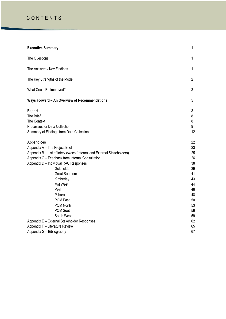# C O N T E N T S

| <b>Executive Summary</b>                                                                                                                                                                                                                                                                                                  | 1                                                                    |
|---------------------------------------------------------------------------------------------------------------------------------------------------------------------------------------------------------------------------------------------------------------------------------------------------------------------------|----------------------------------------------------------------------|
| The Questions                                                                                                                                                                                                                                                                                                             | 1                                                                    |
| The Answers / Key Findings                                                                                                                                                                                                                                                                                                | $\mathbf{1}$                                                         |
| The Key Strengths of the Model                                                                                                                                                                                                                                                                                            | $\overline{2}$                                                       |
| What Could Be Improved?                                                                                                                                                                                                                                                                                                   | 3                                                                    |
| Ways Forward - An Overview of Recommendations                                                                                                                                                                                                                                                                             | 5                                                                    |
| Report<br>The Brief<br>The Context<br>Processes for Data Collection<br>Summary of Findings from Data Collection                                                                                                                                                                                                           | 8<br>8<br>8<br>9<br>12                                               |
| <b>Appendices</b><br>Appendix A - The Project Brief<br>Appendix B - List of Interviewees (Internal and External Stakeholders)<br>Appendix C - Feedback from Internal Consultation<br>Appendix D - Individual RAC Responses<br>Goldfields<br><b>Great Southern</b><br>Kimberley<br>Mid West<br>Peel<br>Pilbara<br>POM East | 22<br>23<br>25<br>26<br>38<br>39<br>41<br>43<br>44<br>46<br>48<br>50 |
| <b>POM North</b><br>POM South<br>South West<br>Appendix E - External Stakeholder Responses<br>Appendix F - Literature Review<br>Appendix G - Bibliography                                                                                                                                                                 | 53<br>56<br>59<br>62<br>65<br>67                                     |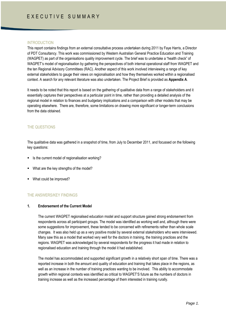#### INTRODUCTION

This report contains findings from an external consultative process undertaken during 2011 by Faye Harris, a Director of PDT Consultancy. This work was commissioned by Western Australian General Practice Education and Training (WAGPET) as part of the organisations quality improvement cycle. The brief was to undertake a "health check" of WAGPET"s model of regionalisation by gathering the perspectives of both internal operational staff from WAGPET and the ten Regional Advisory Committees (RAC). Another aspect of this work involved interviewing a range of key external stakeholders to gauge their views on regionalisation and how they themselves worked within a regionalised context. A search for any relevant literature was also undertaken. The Project Brief is provided as **Appendix A**.

It needs to be noted that this report is based on the gathering of qualitative data from a range of stakeholders and it essentially captures their perspectives at a particular point in time, rather than providing a detailed analysis of the regional model in relation to finances and budgetary implications and a comparison with other models that may be operating elsewhere. There are, therefore, some limitations on drawing more significant or longer-term conclusions from the data obtained.

# THE QUESTIONS

The qualitative data was gathered in a snapshot of time, from July to December 2011, and focussed on the following key questions:

- Is the current model of regionalisation working?
- What are the key strengths of the model?
- What could be improved?

#### THE ANSWERS/KEY FINDINGS

### **1. Endorsement of the Current Model**

The current WAGPET regionalised education model and support structure gained strong endorsement from respondents across all participant groups. The model was identified as working well and, although there were some suggestions for improvement, these tended to be concerned with refinements rather than whole scale changes. It was also held up as a very positive model by several external stakeholders who were interviewed. Many saw this as a model that worked very well for the doctors in training, the training practices and the regions. WAGPET was acknowledged by several respondents for the progress it had made in relation to regionalised education and training through the model it had established.

The model has accommodated and supported significant growth in a relatively short span of time. There was a reported increase in both the amount and quality of education and training that takes place in the regions, as well as an increase in the number of training practices wanting to be involved. This ability to accommodate growth within regional contexts was identified as critical to WAGPET"S future as the numbers of doctors in training increase as well as the increased percentage of them interested in training rurally.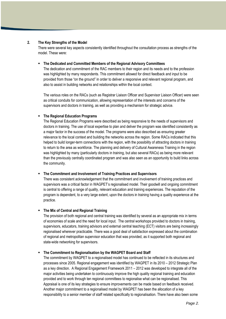#### **2. The Key Strengths of the Model**

There were several key aspects consistently identified throughout the consultation process as strengths of the model. These were:

#### **The Dedicated and Committed Members of the Regional Advisory Committees**

The dedication and commitment of the RAC members to their region and its needs and to the profession was highlighted by many respondents. This commitment allowed for direct feedback and input to be provided from those "on the ground" in order to deliver a responsive and relevant regional program, and also to assist in building networks and relationships within the local context.

The various roles on the RACs (such as Registrar Liaison Officer and Supervisor Liaison Officer) were seen as critical conduits for communication, allowing representation of the interests and concerns of the supervisors and doctors in training, as well as providing a mechanism for strategic advice.

#### **The Regional Education Programs**

The Regional Education Programs were described as being responsive to the needs of supervisors and doctors in training. The use of local expertise to plan and deliver the program was identified consistently as a major factor in the success of the model. The programs were also described as ensuring greater relevance to the local context and building the networks across the region. Some RACs indicated that this helped to build longer-term connections with the region, with the possibility of attracting doctors in training to return to the area as workforce. The planning and delivery of Cultural Awareness Training in the region was highlighted by many (particularly doctors in training, but also several RACs) as being more relevant than the previously centrally coordinated program and was also seen as an opportunity to build links across the community.

#### **The Commitment and Involvement of Training Practices and Supervisors**

There was consistent acknowledgement that the commitment and involvement of training practices and supervisors was a critical factor in WAGPET's regionalised model. Their goodwill and ongoing commitment is central to offering a range of quality, relevant education and training experiences. The reputation of the program is dependent, to a very large extent, upon the doctors in training having a quality experience at the practice.

#### **The Mix of Central and Regional Training**

The provision of both regional and central training was identified by several as an appropriate mix in terms of economies of scale and the need for local input. The central workshops provided to doctors in training, supervisors, educators, training advisors and external central teaching (ECT) visitors are being increasingly regionalised wherever practicable. There was a good deal of satisfaction expressed about the combination of regional and metropolitan supervisor education that was provided, as it supported both regional and state-wide networking for supervisors.

#### **The Commitment to Regionalisation by the WAGPET Board and Staff**

The commitment by WAGPET to a regionalised model has continued to be reflected in its structures and processes since 2005. Regional engagement was identified by WAGPET in its 2010 – 2012 Strategic Plan as a key direction. A Regional Engagement Framework 2011 – 2012 was developed to integrate all of the major activities being undertaken to continuously improve the high quality regional training and education provided and to work through ten regional committees to regionalise what can be regionalised. This Appraisal is one of its key strategies to ensure improvements can be made based on feedback received. Another major commitment to a regionalised model by WAGPET has been the allocation of a key responsibility to a senior member of staff related specifically to regionalisation. There have also been some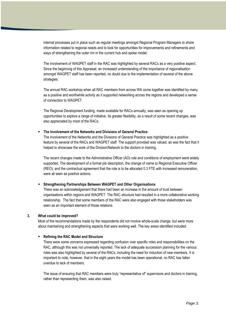internal processes put in place such as regular meetings amongst Regional Program Managers to share information related to regional needs and to look for opportunities for improvements and refinements and ways of strengthening the outer rim in the current hub and spoke model.

The involvement of WAGPET staff in the RAC was highlighted by several RACs as a very positive aspect. Since the beginning of this Appraisal, an increased understanding of the importance of regionalisation amongst WAGPET staff has been reported, no doubt due to the implementation of several of the above strategies.

The annual RAC workshop when all RAC members from across WA come together was identified by many as a positive and worthwhile activity as it supported networking across the regions and developed a sense of connection to WAGPET.

The Regional Development funding, made available for RACs annually, was seen as opening up opportunities to explore a range of initiative. Its greater flexibility, as a result of some recent changes, was also appreciated by most of the RACs.

#### **The Involvement of the Networks and Divisions of General Practice**

The involvement of the Networks and the Divisions of General Practice was highlighted as a positive feature by several of the RACs and WAGPET staff. The support provided was valued, as was the fact that it helped to showcase the work of the Division/Network to the doctors in training.

The recent changes made to the Administrative Officer (AO) role and conditions of employment were widely supported. The development of a formal job description, the change of name to Regional Executive Officer (REO), and the contractual agreement that the role is to be allocated 0.3 FTE with increased remuneration, were all seen as positive actions.

#### **Strengthening Partnerships Between WAGPET and Other Organisations**

There was an acknowledgement that there had been an increase in the amount of trust between organisations within regions and WAGPET. The RAC structure had resulted in a more collaborative working relationship. The fact that some members of the RAC were also engaged with those stakeholders was seen as an important element of those relations.

#### **3. What could be improved?**

Most of the recommendations made by the respondents did not involve whole-scale change, but were more about maintaining and strengthening aspects that were working well. The key areas identified included:

#### **Refining the RAC Model and Structure**

There were some concerns expressed regarding confusion over specific roles and responsibilities on the RAC, although this was not universally reported. The lack of adequate succession planning for the various roles was also highlighted by several of the RACs, including the need for induction of new members. It is important to note, however, that in the eight years the model has been operational, no RAC has fallen overdue to lack of members.

The issue of ensuring that RAC members were truly "representative of" supervisors and doctors in training, rather than representing them, was also raised.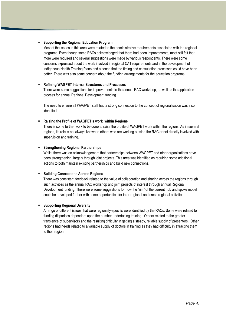#### **Supporting the Regional Education Program**

Most of the issues in this area were related to the administrative requirements associated with the regional programs. Even though some RACs acknowledged that there had been improvements, most still felt that more were required and several suggestions were made by various respondents. There were some concerns expressed about the work involved in regional CAT requirements and in the development of Indigenous Health Training Plans and a sense that the timing and consultation processes could have been better. There was also some concern about the funding arrangements for the education programs.

#### **Refining WAGPET Internal Structures and Processes**

There were some suggestions for improvements to the annual RAC workshop, as well as the application process for annual Regional Development funding.

The need to ensure all WAGPET staff had a strong connection to the concept of regionalisation was also identified.

#### **Raising the Profile of WAGPET's work within Regions**

There is some further work to be done to raise the profile of WAGPET work within the regions. As in several regions, its role is not always known to others who are working outside the RAC or not directly involved with supervision and training.

#### **Strengthening Regional Partnerships**

Whilst there was an acknowledgement that partnerships between WAGPET and other organisations have been strengthening, largely through joint projects. This area was identified as requiring some additional actions to both maintain existing partnerships and build new connections.

#### **Building Connections Across Regions**

There was consistent feedback related to the value of collaboration and sharing across the regions through such activities as the annual RAC workshop and joint projects of interest through annual Regional Development funding. There were some suggestions for how the "rim" of the current hub and spoke model could be developed further with some opportunities for inter-regional and cross-regional activities.

# **Supporting Regional Diversity**

A range of different issues that were regionally-specific were identified by the RACs. Some were related to funding disparities dependent upon the number undertaking training. Others related to the greater transience of supervisors and the resulting difficulty in getting a steady, reliable supply of presenters. Other regions had needs related to a variable supply of doctors in training as they had difficulty in attracting them to their region.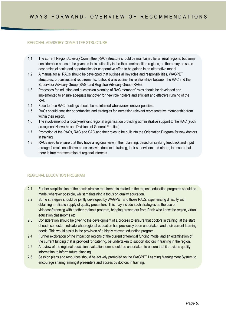# REGIONAL ADVISORY COMMITTEE STRUCTURE

- 1.1 The current Region Advisory Committee (RAC) structure should be maintained for all rural regions, but some consideration needs to be given as to its suitability in the three metropolitan regions, as there may be some economies of scale and opportunities for cooperative effort to be gained in an alternative model.
- 1.2 A manual for all RACs should be developed that outlines all key roles and responsibilities, WAGPET structures, processes and requirements. It should also outline the relationships between the RAC and the Supervisor Advisory Group (SAG) and Registrar Advisory Group (RAG).
- 1.3 Processes for induction and succession planning of RAC members" roles should be developed and implemented to ensure adequate handover for new role holders and efficient and effective running of the RAC.
- 1.4 Face-to-face RAC meetings should be maintained wherever/whenever possible.
- 1.5 RACs should consider opportunities and strategies for increasing relevant representative membership from within their region.
- 1.6 The involvement of a locally-relevant regional organisation providing administrative support to the RAC (such as regional Networks and Divisions of General Practice).
- 1.7 Promotion of the RACs, RAG and SAG and their roles to be built into the Orientation Program for new doctors in training.
- 1.8 RACs need to ensure that they have a regional view in their planning, based on seeking feedback and input through formal consultative processes with doctors in training, their supervisors and others, to ensure that there is true representation of regional interests.

# REGIONAL EDUCATION PROGRAM

- 2.1 Further simplification of the administrative requirements related to the regional education programs should be made, wherever possible, whilst maintaining a focus on quality education.
- 2.2 Some strategies should be jointly developed by WAGPET and those RACs experiencing difficulty with obtaining a reliable supply of quality presenters. This may include such strategies as the use of videoconferencing with another region"s program, bringing presenters from Perth who know the region, virtual education classrooms etc.
- 2.3 Consideration should be given to the development of a process to ensure that doctors in training, at the start of each semester, indicate what regional education has previously been undertaken and their current learning needs. This would assist in the provision of a highly relevant education program.
- 2.4 Further exploration of the impact on regions of the current differential funding model and an examination of the current funding that is provided for catering, be undertaken to support doctors in training in the region.
- 2.5 A review of the regional education evaluation form should be undertaken to ensure that it provides quality information to inform future planning.
- 2.6 Session plans and resources should be actively promoted on the WAGPET Learning Management System to encourage sharing amongst presenters and access by doctors in training.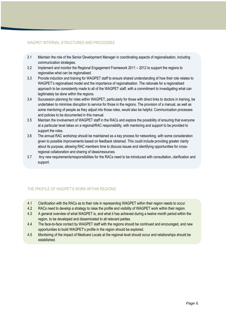## WAGPET INTERNAL STRUCTURES AND PROCESSES

- 3.1 Maintain the role of the Senior Development Manager in coordinating aspects of regionalisation, including communication strategies.
- 3.2 Implement and monitor the Regional Engagement Framework 2011 2012 to support the regions to regionalise what can be regionalised.
- 3.3 Provide induction and training for WAGPET staff to ensure shared understanding of how their role relates to WAGPET"s regionalised model and the importance of regionalisation. The rationale for a regionalised approach to be consistently made to all of the WAGPET staff, with a commitment to investigating what can legitimately be done within the regions.
- 3.4 Succession planning for roles within WAGPET, particularly for those with direct links to doctors in training, be undertaken to minimise disruption to service for those in the regions. The provision of a manual, as well as some mentoring of people as they adjust into those roles, would also be helpful. Communication processes and policies to be documented in this manual.
- 3.5 Maintain the involvement of WAGPET staff in the RACs and explore the possibility of ensuring that everyone at a particular level takes on a regional/RAC responsibility, with mentoring and support to be provided to support the roles.
- 3.6 The annual RAC workshop should be maintained as a key process for networking, with some consideration given to possible improvements based on feedback obtained. This could include providing greater clarity about its purpose, allowing RAC members time to discuss issues and identifying opportunities for crossregional collaboration and sharing of ideas/resources.
- 3.7 Any new requirements/responsibilities for the RACs need to be introduced with consultation, clarification and support.

# THE PROFILE OF WAGPET"S WORK WITHIN REGIONS

- 4.1 Clarification with the RACs as to their role in representing WAGPET within their region needs to occur.
- 4.2 RACs need to develop a strategy to raise the profile and visibility of WAGPET work within their region.
- 4.3 A general overview of what WAGPET is, and what it has achieved during a twelve month period within the region, to be developed and disseminated to all relevant parties.
- 4.4 The face-to-face contact by WAGPET staff with the regions should be continued and encouraged, and new opportunities to build WAGPET"s profile in the region should be explored.
- 4.5 Monitoring of the impact of Medicare Locals at the regional level should occur and relationships should be established.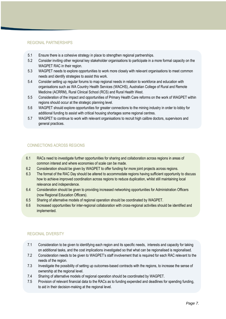#### REGIONAL PARTNERSHIPS

- 5.1 Ensure there is a cohesive strategy in place to strengthen regional partnerships.
- 5.2 Consider inviting other regional key stakeholder organisations to participate in a more formal capacity on the WAGPET RAC in their region.
- 5.3 WAGPET needs to explore opportunities to work more closely with relevant organisations to meet common needs and identify strategies to assist this work.
- 5.4 Consider setting up regular forums to map regional needs in relation to workforce and education with organisations such as WA Country Health Services (WACHS), Australian College of Rural and Remote Medicine (ACRRM), Rural Clinical School (RCS) and Rural Health West.
- 5.5 Consideration of the impact and opportunities of Primary Health Care reforms on the work of WAGPET within regions should occur at the strategic planning level.
- 5.6 WAGPET should explore opportunities for greater connections to the mining industry in order to lobby for additional funding to assist with critical housing shortages some regional centres.
- 5.7 WAGPET to continue to work with relevant organisations to recruit high calibre doctors, supervisors and general practices.

# CONNECTIONS ACROSS REGIONS

- 6.1 RACs need to investigate further opportunities for sharing and collaboration across regions in areas of common interest and where economies of scale can be made.
- 6.2 Consideration should be given by WAGPET to offer funding for more joint projects across regions.
- 6.3 The format of the RAC Day should be altered to accommodate regions having sufficient opportunity to discuss how to achieve improved coordination across regions to reduce duplication, whilst still maintaining local relevance and independence.
- 6.4 Consideration should be given to providing increased networking opportunities for Administration Officers (now Regional Education Officers).
- 6.5 Sharing of alternative models of regional operation should be coordinated by WAGPET.
- 6.6 Increased opportunities for inter-regional collaboration with cross-regional activities should be identified and implemented.

# REGIONAL DIVERSITY

- 7.1 Consideration to be given to identifying each region and its specific needs, interests and capacity for taking on additional tasks, and the cost implications investigated so that what can be regionalised is regionalised.
- 7.2 Consideration needs to be given to WAGPET"s staff involvement that is required for each RAC relevant to the needs of the region.
- 7.3 Investigate the possibility of setting up outcomes-based contracts with the regions, to increase the sense of ownership at the regional level.
- 7.4 Sharing of alternative models of regional operation should be coordinated by WAGPET.
- 7.5 Provision of relevant financial data to the RACs as to funding expended and deadlines for spending funding, to aid in their decision-making at the regional level.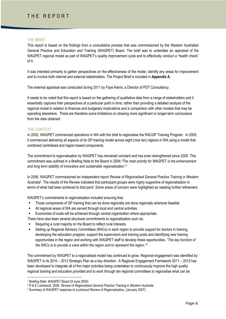# THE REPORT

#### THE BRIEF

This report is based on the findings from a consultative process that was commissioned by the Western Australian General Practice and Education and Training (WAGPET) Board. The brief was to undertake an appraisal of the WAGPET regional model as part of WAGPET"s quality improvement cycle and to effectively conduct a "health check" of it.

It was intended primarily to gather perspectives on the effectiveness of the model, identify any areas for improvement and to involve both internal and external stakeholders. The Project Brief is included in **Appendix A**.

The external appraisal was conducted during 2011 by Faye Harris, a Director of PDT Consultancy.

It needs to be noted that this report is based on the gathering of qualitative data from a range of stakeholders and it essentially captures their perspectives at a particular point in time, rather than providing a detailed analysis of the regional model in relation to finances and budgetary implications and a comparison with other models that may be operating elsewhere. There are therefore some limitations on drawing more significant or longer-term conclusions from the data obtained.

#### THE CONTEXT

In 2002, WAGPET commenced operations in WA with the brief to regionalise the RACGP Training Program. In 2005, it commenced delivering all aspects of its GP training model across eight (now ten) regions in WA using a model that combined centralised and region-based components.

The commitment to regionalisation by WAGPET has remained constant and has even strengthened since 2005. This commitment was outlined in a Briefing Note to the Board in 2004:*"The main priority for WAGPET is the enhancement and long term stability of innovative and sustainable regionalisation*." 1

In 2006, WAGPET commissioned an independent report *Review of Regionalised General Practice Training in Western Australia*<sup>2</sup> . The results of the Review indicated that participant groups were highly supportive of regionalisation in terms of what had been achieved to that point. Some areas of concern were highlighted as needing further refinement.

WAGPET's commitments to regionalisation included ensuring that:

- Those components of GP training that can be done regionally are done regionally wherever feasible
- All regional areas of WA are served through local and central activities.
- Economies of scale will be achieved through central organisation where appropriate.
- There have also been several structural commitments to regionalisation such as:
- Requiring a rural majority on the Board to reflect rural interests.
- Setting up Regional Advisory Committees (RACs) in each region to provide support for doctors in training, developing the education program, support the supervisors and training posts and identifying new training opportunities in the region and working with WAGPET staff to develop these opportunities. "*The key function of the RACs is to provide a voice within the region and to represent the region."<sup>3</sup>*

The commitment by WAGPET to a regionalised model has continued to grow. Regional engagement was identified by WAGPET in its 2010 – 2012 Strategic Plan as a key direction. A Regional Engagement Framework 2011 – 2012 has been developed to integrate all of the major activities being undertaken to continuously improve the high quality regional training and education provided and to work through ten regional committees to regionalise what can be

**.** 

<sup>1</sup> Briefing Note: WAGPET Board (9 June 2004)

<sup>2</sup> R & E Lockwood, 2006 *Review of Regionalised General Practice Training in Western Australia*

<sup>3</sup> Summary of WAGPET response to *Lockwood Review of Regionalisation,* (January 2007).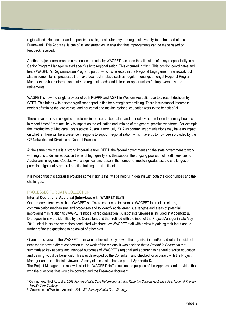regionalised. Respect for and responsiveness to, local autonomy and regional diversity lie at the heart of this Framework. This Appraisal is one of its key strategies, in ensuring that improvements can be made based on feedback received.

Another major commitment to a regionalised model by WAGPET has been the allocation of a key responsibility to a Senior Program Manager related specifically to regionalisation. This occurred in 2011. This position coordinates and leads WAGPET"s Regionalisation Program, part of which is reflected in the Regional Engagement Framework, but also in some internal processes that have been put in place such as regular meetings amongst Regional Program Managers to share information related to regional needs and to look for opportunities for improvements and refinements.

WAGPET is now the single provider of both PGPPP and AGPT in Western Australia, due to a recent decision by GPET. This brings with it some significant opportunities for strategic streamlining. There is substantial interest in models of training that are vertical and horizontal and making regional education work to the benefit of all.

There have been some significant reforms introduced at both state and federal levels in relation to primary health care in recent times<sup>45</sup> that are likely to impact on the education and training of the general practice workforce. For example, the introduction of Medicare Locals across Australia from July 2012 as contracting organisations may have an impact on whether there will be a presence in regions to support regionalisation, which have up to now been provided by the GP Networks and Divisions of General Practice.

At the same time there is a strong imperative from GPET, the federal government and the state government to work with regions to deliver education that is of high quality and that support the ongoing provision of health services to Australians in regions. Coupled with a significant increase in the number of medical graduates, the challenges of providing high quality general practice training are significant.

It is hoped that this appraisal provides some insights that will be helpful in dealing with both the opportunities and the challenges.

# PROCESSES FOR DATA COLLECTION

**.** 

#### **Internal Operational Appraisal (Interviews with WAGPET Staff)**

One-on-one interviews with all WAGPET staff were conducted to examine WAGPET internal structures, communication mechanisms and processes and to identify achievements, strengths and areas of potential improvement in relation to WAGPET"s model of regionalisation. A list of interviewees is included in **Appendix B.**  Draft questions were identified by the Consultant and then refined with the input of the Project Manager in late May 2011. Initial interviews were then conducted with three key WAGPET staff with a view to gaining their input and to further refine the questions to be asked of other staff.

Given that several of the WAGPET team were either relatively new to the organisation and/or had roles that did not necessarily have a direct connection to the work of the regions, it was decided that a *Preamble Document* that summarised key aspects and intended outcomes of WAGPET"s regionalised approach to general practice education and training would be beneficial. This was developed by the Consultant and checked for accuracy with the Project Manager and the initial interviewees. A copy of this is attached as part of **Appendix C.**

The Project Manager then met with all of the WAGPET staff to outline the purpose of the Appraisal, and provided them with the questions that would be covered and the Preamble document.

<sup>4</sup> Commonwealth of Australia, 2009 *Primary Health Care Reform in Australia: Report to Support Australia"s First National Primary Health Care Strategy*

<sup>5</sup> Government of Western Australia, 2011 *WA Primary Health Care Strategy*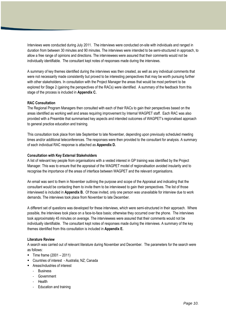Interviews were conducted during July 2011. The interviews were conducted on-site with individuals and ranged in duration from between 30 minutes and 90 minutes. The interviews were intended to be semi-structured in approach, to allow a free range of opinions and directions. The interviewees were assured that their comments would not be individually identifiable. The consultant kept notes of responses made during the interviews.

A summary of key themes identified during the interviews was then created, as well as any individual comments that were not necessarily made consistently but proved to be interesting perspectives that may be worth pursuing further with other stakeholders. In consultation with the Project Manager the areas that would be most pertinent to be explored for Stage 2 (gaining the perspectives of the RACs) were identified. A summary of the feedback from this stage of the process is included in **Appendix C.**

#### **RAC Consultation**

The Regional Program Managers then consulted with each of their RACs to gain their perspectives based on the areas identified as working well and areas requiring improvement by Internal WAGPET staff. Each RAC was also provided with a Preamble that summarised key aspects and intended outcomes of WAGPET"s regionalised approach to general practice education and training.

This consultation took place from late September to late November, depending upon previously scheduled meeting times and/or additional teleconferences. The responses were then provided to the consultant for analysis. A summary of each individual RAC response is attached as **Appendix D.**

#### **Consultation with Key External Stakeholders**

A list of relevant key people from organisations with a vested interest in GP training was identified by the Project Manager. This was to ensure that the appraisal of the WAGPET model of regionalisation avoided insularity and to recognise the importance of the areas of interface between WAGPET and the relevant organisations.

An email was sent to them in November outlining the purpose and scope of the Appraisal and indicating that the consultant would be contacting them to invite them to be interviewed to gain their perspectives. The list of those interviewed is included in **Appendix B.** Of those invited, only one person was unavailable for interview due to work demands. The interviews took place from November to late December.

A different set of questions was developed for these interviews, which were semi-structured in their approach. Where possible, the interviews took place on a face-to-face basis; otherwise they occurred over the phone. The interviews took approximately 45 minutes on average. The interviewees were assured that their comments would not be individually identifiable. The consultant kept notes of responses made during the interviews. A summary of the key themes identified from this consultation is included in **Appendix E.**

#### **Literature Review**

A search was carried out of relevant literature during November and December. The parameters for the search were as follows:

- $\blacksquare$  Time frame (2001 2011)
- Countries of interest Australia; NZ; Canada
- Areas/industries of interest
	- Business
	- Government
	- Health
	- Education and training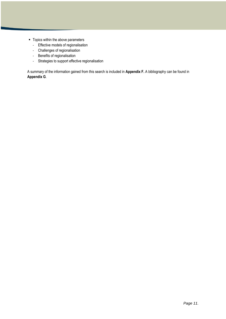- Topics within the above parameters
	- Effective models of regionalisation
	- Challenges of regionalisation
	- Benefits of regionalisation
	- Strategies to support effective regionalisation

A summary of the information gained from this search is included in **Appendix F.** A bibliography can be found in **Appendix G**.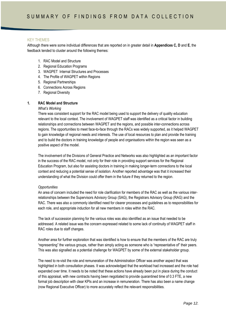# KEY THEMES

Although there were some individual differences that are reported on in greater detail in **Appendices C, D** and **E**, the feedback tended to cluster around the following themes:

- 1. RAC Model and Structure
- 2. Regional Education Programs
- 3. WAGPET Internal Structures and Processes
- 4. The Profile of WAGPET within Regions
- 5. Regional Partnerships
- 6. Connections Across Regions
- 7. Regional Diversity

#### **1. RAC Model and Structure**

#### *What"s Working*

There was consistent support for the RAC model being used to support the delivery of quality education relevant to the local context. The involvement of WAGPET staff was identified as a critical factor in building relationships and connections between WAGPET and the regions, and possible inter-connections across regions. The opportunities to meet face-to-face through the RACs was widely supported, as it helped WAGPET to gain knowledge of regional needs and interests. The use of local resources to plan and provide the training and to build the doctors in training knowledge of people and organisations within the region was seen as a positive aspect of the model.

The involvement of the Divisions of General Practice and Networks was also highlighted as an important factor in the success of the RAC model, not only for their role in providing support services for the Regional Education Program, but also for assisting doctors in training in making longer-term connections to the local context and reducing a potential sense of isolation. Another reported advantage was that it increased their understanding of what the Division could offer them in the future if they returned to the region.

#### *Opportunities*

An area of concern included the need for role clarification for members of the RAC as well as the various interrelationships between the Supervisors Advisory Group (SAG), the Registrars Advisory Group (RAG) and the RAC. There was also a commonly identified need for clearer processes and guidelines as to responsibilities for each role, and appropriate induction for all new members in roles within the RAC.

The lack of succession planning for the various roles was also identified as an issue that needed to be addressed. A related issue was the concern expressed related to some lack of continuity of WAGPET staff in RAC roles due to staff changes.

Another area for further exploration that was identified is how to ensure that the members of the RAC are truly "representing" the various groups, rather than simply acting as someone who is "representative of" their peers. This was also signalled as a potential challenge for WAGPET by some of the external stakeholder group.

The need to re-visit the role and remuneration of the Administration Officer was another aspect that was highlighted in both consultation phases. It was acknowledged that the workload had increased and the role had expanded over time. It needs to be noted that these actions have already been put in place during the conduct of this appraisal, with new contracts having been negotiated to provide quarantined time of 0.3 FTE, a new formal job description with clear KPIs and an increase in remuneration. There has also been a name change (now Regional Executive Officer) to more accurately reflect the relevant responsibilities.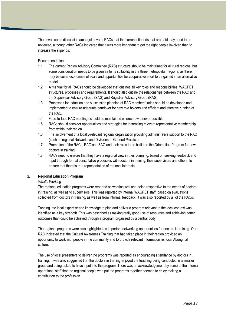There was some discussion amongst several RACs that the current stipends that are paid may need to be reviewed, although other RACs indicated that it was more important to get the right people involved than to increase the stipends.

#### Recommendations:

- 1.1 The current Region Advisory Committee (RAC) structure should be maintained for all rural regions, but some consideration needs to be given as to its suitability in the three metropolitan regions, as there may be some economies of scale and opportunities for cooperative effort to be gained in an alternative model.
- 1.2 A manual for all RACs should be developed that outlines all key roles and responsibilities, WAGPET structures, processes and requirements. It should also outline the relationships between the RAC and the Supervisor Advisory Group (SAG) and Registrar Advisory Group (RAG).
- 1.3 Processes for induction and succession planning of RAC members" roles should be developed and implemented to ensure adequate handover for new role holders and efficient and effective running of the RAC.
- 1.4 Face-to-face RAC meetings should be maintained wherever/whenever possible.
- 1.5 RACs should consider opportunities and strategies for increasing relevant representative membership from within their region.
- 1.6 The involvement of a locally-relevant regional organisation providing administrative support to the RAC (such as regional Networks and Divisions of General Practice).
- 1.7 Promotion of the RACs, RAG and SAG and their roles to be built into the Orientation Program for new doctors in training.
- 1.8 RACs need to ensure that they have a regional view in their planning, based on seeking feedback and input through formal consultative processes with doctors in training, their supervisors and others, to ensure that there is true representation of regional interests.

# **2. Regional Education Program**

#### *What"s Working*

The regional education programs were reported as working well and being responsive to the needs of doctors in training, as well as to supervisors. This was reported by internal WAGPET staff, based on evaluations collected from doctors in training, as well as from informal feedback. It was also reported by all of the RACs.

Tapping into local expertise and knowledge to plan and deliver a program relevant to the local context was identified as a key strength. This was described as making really good use of resources and achieving better outcomes than could be achieved through a program organised by a central body.

The regional programs were also highlighted as important networking opportunities for doctors in training. One RAC indicated that the Cultural Awareness Training that had taken place in their region provided an opportunity to work with people in the community and to provide relevant information re: local Aboriginal culture.

The use of local presenters to deliver the programs was reported as encouraging attendance by doctors in training. It was also suggested that the doctors in training enjoyed the teaching being conducted in a smaller group and being asked to have input into the program. There was an acknowledgement by some of the internal operational staff that the regional people who put the programs together seemed to enjoy making a contribution to the profession.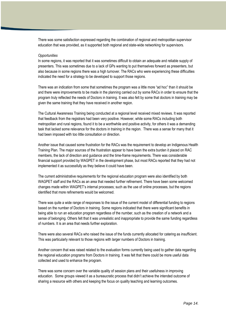There was some satisfaction expressed regarding the combination of regional and metropolitan supervisor education that was provided, as it supported both regional and state-wide networking for supervisors.

#### *Opportunities*

In some regions, it was reported that it was sometimes difficult to obtain an adequate and reliable supply of presenters. This was sometimes due to a lack of GPs wanting to put themselves forward as presenters, but also because in some regions there was a high turnover. The RACs who were experiencing these difficulties indicated the need for a strategy to be developed to support those regions.

There was an indication from some that sometimes the program was a little more "ad hoc" than it should be and there were improvements to be made in the planning carried out by some RACs in order to ensure that the program truly reflected the needs of Doctors in training. It was also felt by some that doctors in training may be given the same training that they have received in another region.

The Cultural Awareness Training being conducted at a regional level received mixed reviews. It was reported that feedback from the registrars had been very positive. However, while some RACs including both metropolitan and rural regions, found it to be a worthwhile and positive activity, for others it was a demanding task that lacked some relevance for the doctors in training in the region. There was a sense for many that it had been imposed with too little consultation or direction.

Another issue that caused some frustration for the RACs was the requirement to develop an Indigenous Health Training Plan. The major sources of the frustration appear to have been the extra burden it placed on RAC members, the lack of direction and guidance and the time-frame requirements. There was considerable financial support provided by WAGPET in the development phase, but most RACs reported that they had not implemented it as successfully as they believe it could have been.

The current administrative requirements for the regional education program were also identified by both WAGPET staff and the RACs as an area that needed further refinement. There have been some welcomed changes made within WAGPET"s internal processes; such as the use of online processes, but the regions identified that more refinements would be welcomed.

There was quite a wide range of responses to the issue of the current model of differential funding to regions based on the number of Doctors in training. Some regions indicated that there were significant benefits in being able to run an education program regardless of the number, such as the creation of a network and a sense of belonging. Others felt that it was unrealistic and inappropriate to provide the same funding regardless of numbers. It is an area that needs further exploration.

There were also several RACs who raised the issue of the funds currently allocated for catering as insufficient. This was particularly relevant to those regions with larger numbers of Doctors in training.

Another concern that was raised related to the evaluation forms currently being used to gather data regarding the regional education programs from Doctors in training. It was felt that there could be more useful data collected and used to enhance the program.

There was some concern over the variable quality of session plans and their usefulness in improving education. Some groups viewed it as a bureaucratic process that didn"t achieve the intended outcome of sharing a resource with others and keeping the focus on quality teaching and learning outcomes.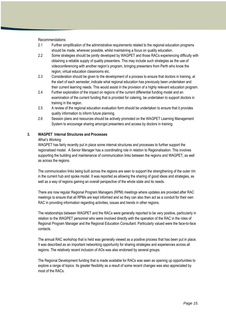Recommendations:

- 2.1 Further simplification of the administrative requirements related to the regional education programs should be made, wherever possible, whilst maintaining a focus on quality education.
- 2.2 Some strategies should be jointly developed by WAGPET and those RACs experiencing difficulty with obtaining a reliable supply of quality presenters. This may include such strategies as the use of videoconferencing with another region"s program, bringing presenters from Perth who know the region, virtual education classrooms etc.
- 2.3 Consideration should be given to the development of a process to ensure that doctors in training, at the start of each semester, indicate what regional education has previously been undertaken and their current learning needs. This would assist in the provision of a highly relevant education program.
- 2.4 Further exploration of the impact on regions of the current differential funding model and an examination of the current funding that is provided for catering, be undertaken to support doctors in training in the region.
- 2.5 A review of the regional education evaluation form should be undertaken to ensure that it provides quality information to inform future planning.
- 2.6 Session plans and resources should be actively promoted on the WAGPET Learning Management System to encourage sharing amongst presenters and access by doctors in training.

#### **3. WAGPET Internal Structures and Processes**

#### *What"s Working*

WAGPET has fairly recently put in place some internal structures and processes to further support the regionalised model. A Senior Manager has a coordinating role in relation to Regionalisation. This involves supporting the building and maintenance of communication links between the regions and WAGPET, as well as across the regions.

The communication links being built across the regions are seen to support the strengthening of the outer rim in the current hub and spoke model. It was reported as allowing the sharing of good ideas and strategies, as well as a way of regions gaining an overall perspective of the whole state and its needs.

There are now regular Regional Program Managers (RPM) meetings where updates are provided after RAC meetings to ensure that all RPMs are kept informed and so they can also then act as a conduit for their own RAC in providing information regarding activities, issues and trends in other regions.

The relationships between WAGPET and the RACs were generally reported to be very positive, particularly in relation to the WAGPET personnel who were involved directly with the operation of the RAC in the roles of Regional Program Manager and the Regional Education Consultant. Particularly valued were the face-to-face contacts.

The annual RAC workshop that is held was generally viewed as a positive process that has been put in place. It was described as an important networking opportunity for sharing strategies and experiences across all regions. The relatively recent inclusion of AOs was also endorsed by several groups.

The Regional Development funding that is made available for RACs was seen as opening up opportunities to explore a range of topics. Its greater flexibility as a result of some recent changes was also appreciated by most of the RACs.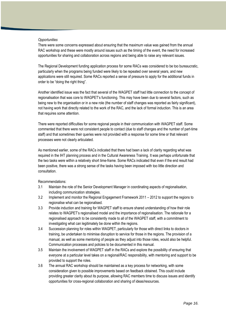#### *Opportunities*

There were some concerns expressed about ensuring that the maximum value was gained from the annual RAC workshop and these were mostly around issues such as the timing of the event, the need for increased opportunities for sharing and collaboration across regions and being able to raise any relevant issues.

The Regional Development funding application process for some RACs was considered to be too bureaucratic, particularly when the programs being funded were likely to be repeated over several years, and new applications were still required. Some RACs reported a sense of pressure to apply for the additional funds in order to be "doing the right thing".

Another identified issue was the fact that several of the WAGPET staff had little connection to the concept of regionalisation that was core to WAGPET"s functioning. This may have been due to several factors, such as being new to the organisation or in a new role (the number of staff changes was reported as fairly significant), not having work that directly related to the work of the RAC, and the lack of formal induction. This is an area that requires some attention.

There were reported difficulties for some regional people in their communication with WAGPET staff. Some commented that there were not consistent people to contact (due to staff changes and the number of part-time staff) and that sometimes their queries were not provided with a response for some time or that relevant processes were not clearly articulated.

As mentioned earlier, some of the RACs indicated that there had been a lack of clarity regarding what was required in the IHT planning process and in the Cultural Awareness Training. It was perhaps unfortunate that the two tasks were within a relatively short time-frame. Some RACs indicated that even if the end result had been positive, there was a strong sense of the tasks having been imposed with too little direction and consultation.

- 3.1 Maintain the role of the Senior Development Manager in coordinating aspects of regionalisation, including communication strategies.
- 3.2 Implement and monitor the Regional Engagement Framework 2011 2012 to support the regions to regionalise what can be regionalised.
- 3.3 Provide induction and training for WAGPET staff to ensure shared understanding of how their role relates to WAGPET"s regionalised model and the importance of regionalisation. The rationale for a regionalised approach to be consistently made to all of the WAGPET staff, with a commitment to investigating what can legitimately be done within the regions.
- 3.4 Succession planning for roles within WAGPET, particularly for those with direct links to doctors in training, be undertaken to minimise disruption to service for those in the regions. The provision of a manual, as well as some mentoring of people as they adjust into those roles, would also be helpful. Communication processes and policies to be documented in this manual.
- 3.5 Maintain the involvement of WAGPET staff in the RACs and explore the possibility of ensuring that everyone at a particular level takes on a regional/RAC responsibility, with mentoring and support to be provided to support the roles.
- 3.6 The annual RAC workshop should be maintained as a key process for networking, with some consideration given to possible improvements based on feedback obtained. This could include providing greater clarity about its purpose, allowing RAC members time to discuss issues and identify opportunities for cross-regional collaboration and sharing of ideas/resources.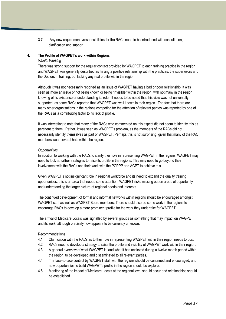3.7 Any new requirements/responsibilities for the RACs need to be introduced with consultation, clarification and support.

#### **4. The Profile of WAGPET's work within Regions**

#### *What"s Working*

There was strong support for the regular contact provided by WAGPET to each training practice in the region and WAGPET was generally described as having a positive relationship with the practices, the supervisors and the Doctors in training, but lacking any real profile within the region.

Although it was not necessarily reported as an issue of WAGPET having a bad or poor relationship, it was seen as more an issue of not being known or being "invisible" within the region, with not many in the region knowing of its existence or understanding its role. It needs to be noted that this view was not universally supported, as some RACs reported that WAGPET was well known in their region. The fact that there are many other organisations in the regions competing for the attention of relevant parties was reported by one of the RACs as a contributing factor to its lack of profile.

It was interesting to note that many of the RACs who commented on this aspect did not seem to identify this as pertinent to them. Rather, it was seen as WAGPET"s problem, as the members of the RACs did not necessarily identify themselves as part of WAGPET. Perhaps this is not surprising, given that many of the RAC members wear several hats within the region.

#### *Opportunities*

In addition to working with the RACs to clarify their role in representing WAGPET in the regions, WAGPET may need to look at further strategies to raise its profile in the regions. This may need to go beyond their involvement with the RACs and their work with the PGPPP and AGPT to achieve this.

Given WAGPET"s not insignificant role in regional workforce and its need to expand the quality training opportunities, this is an area that needs some attention. WAGPET risks missing out on areas of opportunity and understanding the larger picture of regional needs and interests.

The continued development of formal and informal networks within regions should be encouraged amongst WAGPET staff as well as WAGPET Board members. There should also be some work in the regions to encourage RACs to develop a more prominent profile for the work they undertake for WAGPET.

The arrival of Medicare Locals was signalled by several groups as something that may impact on WAGPET and its work, although precisely how appears to be currently unknown.

- 4.1 Clarification with the RACs as to their role in representing WAGPET within their region needs to occur.
- 4.2 RACs need to develop a strategy to raise the profile and visibility of WAGPET work within their region.
- 4.3 A general overview of what WAGPET is, and what it has achieved during a twelve month period within the region, to be developed and disseminated to all relevant parties.
- 4.4 The face-to-face contact by WAGPET staff with the regions should be continued and encouraged, and new opportunities to build WAGPET"s profile in the region should be explored.
- 4.5 Monitoring of the impact of Medicare Locals at the regional level should occur and relationships should be established.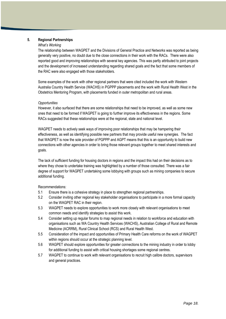## **5. Regional Partnerships**

#### *What"s Working*

The relationship between WAGPET and the Divisions of General Practice and Networks was reported as being generally very positive, no doubt due to the close connections in their work with the RACs. There were also reported good and improving relationships with several key agencies. This was partly attributed to joint projects and the development of increased understanding regarding shared goals and the fact that some members of the RAC were also engaged with those stakeholders.

Some examples of the work with other regional partners that were cited included the work with Western Australia Country Health Service (WACHS) in PGPPP placements and the work with Rural Health West in the Obstetrics Mentoring Program, with placements funded in outer metropolitan and rural areas.

#### *Opportunities*

However, it also surfaced that there are some relationships that need to be improved, as well as some new ones that need to be formed if WAGPET is going to further improve its effectiveness in the regions. Some RACs suggested that these relationships were at the regional, state and national level.

WAGPET needs to actively seek ways of improving poor relationships that may be hampering their effectiveness, as well as identifying possible new partners that may provide useful new synergies. The fact that WAGPET is now the sole provider of PGPPP and AGPT means that this is an opportunity to build new connections with other agencies in order to bring those relevant groups together to meet shared interests and goals.

The lack of sufficient funding for housing doctors in regions and the impact this had on their decisions as to where they chose to undertake training was highlighted by a number of those consulted. There was a fair degree of support for WAGPET undertaking some lobbying with groups such as mining companies to secure additional funding.

- 5.1 Ensure there is a cohesive strategy in place to strengthen regional partnerships.
- 5.2 Consider inviting other regional key stakeholder organisations to participate in a more formal capacity on the WAGPET RAC in their region.
- 5.3 WAGPET needs to explore opportunities to work more closely with relevant organisations to meet common needs and identify strategies to assist this work.
- 5.4 Consider setting up regular forums to map regional needs in relation to workforce and education with organisations such as WA Country Health Services (WACHS), Australian College of Rural and Remote Medicine (ACRRM), Rural Clinical School (RCS) and Rural Health West.
- 5.5 Consideration of the impact and opportunities of Primary Health Care reforms on the work of WAGPET within regions should occur at the strategic planning level.
- 5.6 WAGPET should explore opportunities for greater connections to the mining industry in order to lobby for additional funding to assist with critical housing shortages some regional centres.
- 5.7 WAGPET to continue to work with relevant organisations to recruit high calibre doctors, supervisors and general practices.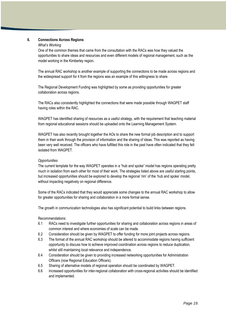#### **6. Connections Across Regions**

#### *What"s Working*

One of the common themes that came from the consultation with the RACs was how they valued the opportunities to share ideas and resources and even different models of regional management, such as the model working in the Kimberley region.

The annual RAC workshop is another example of supporting the connections to be made across regions and the widespread support for it from the regions was an example of this willingness to share.

The Regional Development Funding was highlighted by some as providing opportunities for greater collaboration across regions.

The RACs also consistently highlighted the connections that were made possible through WAGPET staff having roles within the RAC.

WAGPET has identified sharing of resources as a useful strategy, with the requirement that teaching material from regional educational sessions should be uploaded onto the Learning Management System.

WAGPET has also recently brought together the AOs to share the new formal job description and to support them in their work through the provision of information and the sharing of ideas. This was reported as having been very well received. The officers who have fulfilled this role in the past have often indicated that they felt isolated from WAGPET.

#### *Opportunities*

The current template for the way WAGPET operates in a "hub and spoke" model has regions operating pretty much in isolation from each other for most of their work. The strategies listed above are useful starting points, but increased opportunities should be explored to develop the regional "rim" of the "hub and spoke" model, without impacting negatively on regional difference.

Some of the RACs indicated that they would appreciate some changes to the annual RAC workshop to allow for greater opportunities for sharing and collaboration in a more formal sense.

The growth in communication technologies also has significant potential to build links between regions.

- 6.1 RACs need to investigate further opportunities for sharing and collaboration across regions in areas of common interest and where economies of scale can be made.
- 6.2 Consideration should be given by WAGPET to offer funding for more joint projects across regions.
- 6.3 The format of the annual RAC workshop should be altered to accommodate regions having sufficient opportunity to discuss how to achieve improved coordination across regions to reduce duplication, whilst still maintaining local relevance and independence.
- 6.4 Consideration should be given to providing increased networking opportunities for Administration Officers (now Regional Education Officers).
- 6.5 Sharing of alternative models of regional operation should be coordinated by WAGPET.
- 6.6 Increased opportunities for inter-regional collaboration with cross-regional activities should be identified and implemented.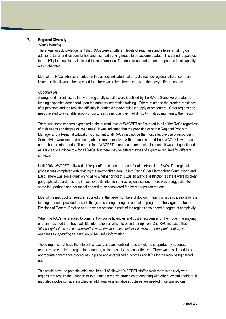## **7. Regional Diversity**

#### *What"s Working*

There was an acknowledgement that RACs were at different levels of readiness and interest in taking on additional tasks and responsibilities and also had varying needs to be accommodated. The varied responses to the IHT planning clearly indicated these differences. The need to understand and respond to local capacity was highlighted.

Most of the RACs who commented on this aspect indicated that they did not see regional difference as an issue and that it was to be expected that there would be differences, given their very different contexts.

#### *Opportunities*

A range of different issues that were regionally specific were identified by the RACs. Some were related to funding disparities dependent upon the number undertaking training. Others related to the greater transience of supervisors and the resulting difficulty in getting a steady, reliable supply of presenters. Other regions had needs related to a variable supply of doctors in training as they had difficulty in attracting them to their region.

There was some concern expressed at the current level of WAGPET staff support in all of the RACs regardless of their needs and degree of "readiness". It was indicated that the provision of both a Regional Program Manager and a Regional Education Consultant to all RACs may not be the most effective use of resources. Some RACs were reported as being able to run themselves without much support from WAGPET, whereas others had greater needs. The need for a WAGPET person as a communication conduit was not questioned as it is clearly a critical role for all RACs, but there may be different types of expertise required for different contexts.

Until 2008, WAGPET delivered all "regional" education programs for all metropolitan RACs. The regional process was completed with dividing the metropolitan area up into Perth Outer Metropolitan South, North and East. There was some questioning as to whether or not this was an artificial distinction as there were no clear geographical boundaries and if it achieved its intention of true regionalisation. There was a suggestion for some that perhaps another model needed to be considered for the metropolitan regions.

Most of the metropolitan regions reported that the larger numbers of doctors in training had implications for the funding amounts provided for such things as catering during the education program. The larger number of Divisions of General Practice and Networks present in each of the regions also added a degree of complexity.

When the RACs were asked to comment on cost efficiencies and cost effectiveness of the model, the majority of them indicated that they had little information on which to base their opinion. One RAC indicated that "*clearer guidelines and communication as to funding; how much is left, rollover of unspent monies, and deadlines for spending funding*" would be useful information.

Those regions that have the interest, capacity and an identified need should be supported by adequate resources to enable the region to manage it, as long as it is also cost effective. There would still need to be appropriate governance procedures in place and established outcomes and KPIs for the work being carried out.

This would have the potential additional benefit of allowing WAGPET staff to work more intensively with regions that require their support or to pursue alternative strategies of engaging with other key stakeholders. It may also involve considering whether additional or alternative structures are needed in certain regions.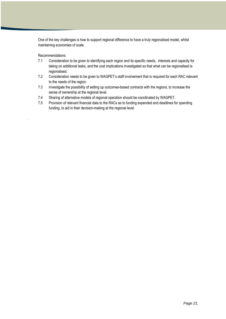One of the key challenges is how to support regional difference to have a truly regionalised model, whilst maintaining economies of scale.

Recommendations:

.

- 7.1 Consideration to be given to identifying each region and its specific needs, interests and capacity for taking on additional tasks, and the cost implications investigated so that what can be regionalised is regionalised.
- 7.2 Consideration needs to be given to WAGPET"s staff involvement that is required for each RAC relevant to the needs of the region.
- 7.3 Investigate the possibility of setting up outcomes-based contracts with the regions, to increase the sense of ownership at the regional level.
- 7.4 Sharing of alternative models of regional operation should be coordinated by WAGPET.
- 7.5 Provision of relevant financial data to the RACs as to funding expended and deadlines for spending funding, to aid in their decision-making at the regional level.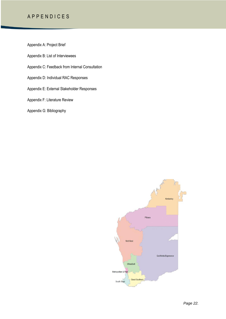# A P P E N D I C E S

Appendix A: Project Brief

Appendix B: List of Interviewees

Appendix C: Feedback from Internal Consultation

Appendix D: Individual RAC Responses

Appendix E: External Stakeholder Responses

Appendix F: Literature Review

Appendix G: Bibliography

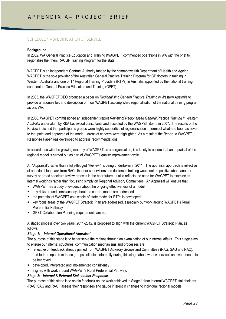# SCHEDULE 1 – SPECIFICIATION OF SERVICE

#### **Background**

In 2002, WA General Practice Education and Training (WAGPET) commenced operations in WA with the brief to regionalise the, then, RACGP Training Program for the state.

WAGPET is an independent Contract Authority funded by the commonwealth Department of Health and Ageing. WAGPET is the sole provider of the Australian General Practice Training Program for GP doctors in training in Western Australia and one of 17 Regional Training Providers (RTPs) in Australia appointed by the national training coordinator, General Practice Education and Training (GPET).

In 2005, the WAGPET CEO produced a paper on *Regionalising General Practice Training in Western Australia* to provide a rationale for, and description of, how WAGPET accomplished regionalisation of the national training program across WA.

In 2006, WAGPET commissioned an independent report *Review of Regionalised General Practice Training in Western Australia* undertaken by R&A Lockwood consultants and accepted by the WAGPET Board in 2007. The results of the Review indicated that participants groups were highly supportive of regionalisation in terms of what had been achieved to that point and approved of the model. Areas of concern were highlighted. As a result of the Report, a WAGPET Response Paper was developed to address recommendations.

In accordance with the growing maturity of WAGPET as an organisation, it is timely to ensure that an appraisal of the regional model is carried out as part of WAGPET"s quality improvement cycle.

An "Appraisal", rather than a fully-fledged "Review", is being undertaken in 2011. The appraisal approach is reflective of anecdotal feedback from RACs that our supervisors and doctors in training would not be positive about another survey or broad spectrum review process in the near future. It also reflects the need for WAGPET to examine its internal workings rather than focussing simply on Regional Advisory Committees. An Appraisal will ensure that:

- WAGPET has a body of evidence about the ongoing effectiveness of a model
- any risks around complacency about the current model are addressed
- the potential of WAGPET as a whole-of-state model for RTPs is developed
- key focus areas of the WAGPET Strategic Plan are addressed, especially our work around WAGPET"s Rural Preferential Pathway
- GPET Collaboration Planning requirements are met.

A staged process over two years, 2011-2012, is proposed to align with the current WAGPET Strategic Plan, as follows:

#### *Stage 1: Internal Operational Appraisal*

The purpose of this stage is to better serve the regions through an examination of our internal affairs. This stage aims to ensure our internal structures, communication mechanisms and processes are:

- **F** reflective of: feedback already gained from WAGPET Advisory Groups and Committees (RAG, SAG and RAC); and further input from these groups collected informally during this stage about what works well and what needs to be improved
- developed, interpreted and implemented consistently
- **E** aligned with work around WAGPET's Rural Preferential Pathway.

#### *Stage 2: Internal & External Stakeholder Response*

The purpose of this stage is to obtain feedback on the work achieved in Stage 1 from internal WAGPET stakeholders (RAG, SAG and RAC), assess their responses and gauge interest in changes to individual regional models.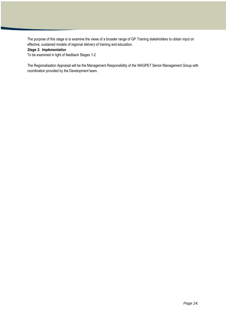The purpose of this stage is to examine the views of a broader range of GP Training stakeholders to obtain input on effective, sustained models of regional delivery of training and education.

#### *Stage 3: Implementation*

To be examined in light of feedback Stages 1-2.

The Regionalisation Appraisal will be the Management Responsibility of the WAGPET Senior Management Group with coordination provided by the Development team.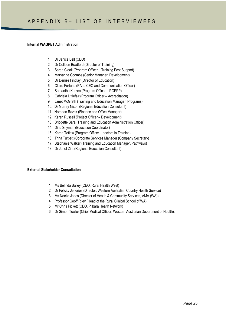#### **Internal WAGPET Administration**

- 1. Dr Janice Bell (CEO)
- 2. Dr Colleen Bradford (Director of Training)
- 3. Sarah Cleak (Program Officer Training Post Support)
- 4. Maryanne Coombs (Senior Manager, Development)
- 5. Dr Denise Findlay (Director of Education)
- 6. Claire Fortune (PA to CEO and Communication Officer)
- 7. Samantha Korzec (Program Officer PGPPP)
- 8. Gabriela Littlefair (Program Officer Accreditation)
- 9. Janet McGrath (Training and Education Manager, Programs)
- 10. Dr Murray Nixon (Regional Education Consultant)
- 11. Norehan Razak **(**Finance and Office Manager)
- 12. Karen Russell (Project Officer Development)
- 13. Bridgette Sara (Training and Education Administration Officer)
- 14. Dina Snyman (Education Coordinator)
- 15. Karen Tetlaw (Program Officer doctors in Training)
- 16. Trina Turbett (Corporate Services Manager (Company Secretary)
- 17. Stephanie Walker (Training and Education Manager, Pathways)
- 18. Dr Janet Zint (Regional Education Consultant).

#### **External Stakeholder Consultation**

- 1. Ms Belinda Bailey (CEO, Rural Health West)
- 2. Dr Felicity Jefferies (Director, Western Australian Country Health Service)
- 3. Ms Noelle Jones (Director of Health & Community Services, AMA (WA))
- 4. Professor Geoff Riley (Head of the Rural Clinical School of WA)
- 5. Mr Chris Pickett (CEO, Pilbara Health Network)
- 6. Dr Simon Towler (Chief Medical Officer, Western Australian Department of Health).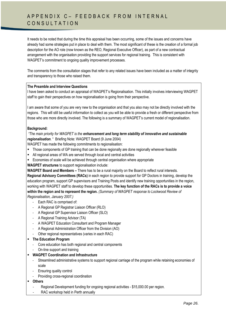# A P P E N D I X C - F E E D B A C K F R O M I N T E R N A L CONSULTATION

It needs to be noted that during the time this appraisal has been occurring, some of the issues and concerns have already had some strategies put in place to deal with them. The most significant of these is the creation of a formal job description for the AO role (now known as the REO, Regional Executive Officer), as part of a new contractual arrangement with the organisation providing the support services for regional training. This is consistent with WAGPET's commitment to ongoing quality improvement processes.

The comments from the consultation stages that refer to any related issues have been included as a matter of integrity and transparency to those who raised them.

#### **The Preamble and Interview Questions**

I have been asked to conduct an appraisal of WAGPET"s Regionalisation. This initially involves interviewing WAGPET staff to gain their perspectives on how regionalisation is going from their perspective.

I am aware that some of you are very new to the organisation and that you also may not be directly involved with the regions. This will still be useful information to collect as you will be able to provide a fresh or different perspective from those who are more directly involved. The following is a summary of WAGPET"s current model of regionalisation.

#### **Background:**

*"The main priority for WAGPET is the enhancement and long term stability of innovative and sustainable regionalisation*. " Briefing Note: WAGPET Board (9 June 2004)

WAGPET has made the following commitments to regionalisation:

- **Those components of GP training that can be done regionally are done regionally wherever feasible**
- All regional areas of WA are served through local and central activities
- Economies of scale will be achieved through central organisation where appropriate

**WAGPET structures** to support regionalisation include:

**WAGPET Board and Members –** There has to be a rural majority on the Board to reflect rural interests.

**Regional Advisory Committees (RACs)** in each region to provide support for GP Doctors in training, develop the education program, support GP supervisors and Training Posts and identify new training opportunities in the region, working with WAGPET staff to develop these opportunities. **The key function of the RACs is to provide a voice within the region and to represent the region.** *(Summary of WAGPET response to Lockwood Review of Regionalisation, January 2007.)*

- Each RAC is comprised of:
- A Regional GP Registrar Liaison Officer (RLO)
- A Regional GP Supervisor Liaison Officer (SLO)
- A Regional Training Advisor (TA)
- A WAGPET Education Consultant and Program Manager
- A Regional Administration Officer from the Division (AO)
- Other regional representatives (varies in each RAC)
- **The Education Program**
	- Core education has both regional and central components
	- On-line support and training
- **WAGPET Coordination and Infrastructure**
	- Streamlined administrative systems to support regional carriage of the program while retaining economies of scale
	- Ensuring quality control
	- Providing cross-regional coordination
- **Others**
	- Regional Development funding for ongoing regional activities \$15,000.00 per region.
	- RAC workshop held in Perth annually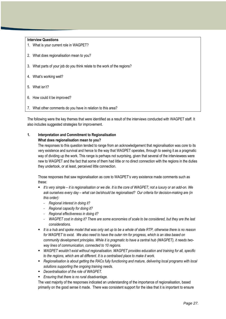#### **Interview Questions**

- 1. What is your current role in WAGPET?
- 2. What does regionalisation mean to you?
- 3. What parts of your job do you think relate to the work of the regions?
- 4. What"s working well?
- 5. What isn"t?
- 6. How could it be improved?
- 7. What other comments do you have in relation to this area?

The following were the key themes that were identified as a result of the interviews conducted with WAGPET staff. It also includes suggested strategies for improvement.

#### **1. Interpretation and Commitment to Regionalisation What does regionalisation mean to you?**

The responses to this question tended to range from an acknowledgement that regionalisation was core to its very existence and survival and hence to the way that WAGPET operates, through to seeing it as a pragmatic way of dividing up the work. This range is perhaps not surprising, given that several of the interviewees were new to WAGPET and the fact that some of them had little or no direct connection with the regions in the duties they undertook, or at least, perceived little connection.

Those responses that saw regionalisation as core to WAGPET"s very existence made comments such as these:

- *It"s very simple – it is regionalisation or we die. It is the core of WAGPET; not a luxury or an add-on. We ask ourselves every day – what can be/should be regionalised? Our criteria for decision-making are (in this order):*
	- *Regional interest in doing it?*
	- *Regional capacity for doing it?*
	- *Regional effectiveness in doing it?*
	- *WAGPET cost in doing it? There are some economies of scale to be considered, but they are the last considerations.*
- *It is a hub and spoke model that was only set up to be a whole of state RTP, otherwise there is no reason for WAGPET to exist. We also need to have the outer rim for progress, which is an idea based on community development principles. While it is pragmatic to have a central hub (WAGPET), it needs twoway lines of communication, connected to 10 regions.*
- *WAGPET wouldn"t exist without regionalisation. WAGPET provides education and training for all, specific to the regions, which are all different. It is a centralised place to make it work.*
- *Regionalisation is about getting the RACs fully functioning and mature, delivering local programs with local solutions supporting the ongoing training needs.*
- *Decentralisation of the role of WAGPET.*
- *Ensuring that there is no rural disadvantage.*

The vast majority of the responses indicated an understanding of the importance of regionalisation, based primarily on the good sense it made. There was consistent support for the idea that it is important to ensure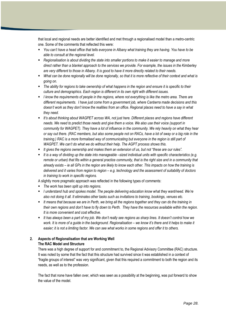that local and regional needs are better identified and met through a regionalised model than a metro-centric one. Some of the comments that reflected this were:

- *You can"t have a head office that tells everyone in Albany what training they are having. You have to be able to consult at the regional level.*
- *Regionalisation is about dividing the state into smaller portions to make it easier to manage and more direct rather than a blanket approach to the services we provide. For example, the issues in the Kimberley are very different to those in Albany. It is good to have it more directly related to their needs.*
- *What can be done regionally will be done regionally, so that it is more reflective of their context and what is going on.*
- *The ability for regions to take ownership of what happens in the region and ensure it is specific to their culture and demographics. Each region is different in its own right with different issues.*
- *I know the requirements of people in the regions, where not everything is like the metro area. There are different requirements. I have just come from a government job, where Canberra made decisions and this doesn"t work as they don"t know the realities from an office. Regional places need to have a say in what they need.*
- **It's about thinking about WAGPET across WA, not just here. Different places and regions have different** *needs. We need to predict those needs and give them a voice. We also use their voice (support in community for WAGPET). They have a lot of influence in the community. We rely heavily on what they hear or say out there. (RAC members, but also some people not on RACs, have a lot of sway or a big role in the training.) RAC is a more formalised way of communicating but everyone in the region is still part of WAGPET. We can"t do what we do without their help. The AGPT process shows this.*
- *It gives the regions ownership and makes them an extension of us, but not "these are our rules".*
- It is a way of dividing up the state into manageable sized individual units with specific characteristics (e.g. *remote or urban) that fits within a general practice community, that is the right size and in a community that already exists – ie all GPs in the region are likely to know each other. This impacts on how the training is delivered and it varies from region to region – e.g. technology and the assessment of suitability of doctors in training to work in specific regions.*

A slightly more pragmatic approach was reflected in the following types of comments:

- *The work has been split up into regions.*
- *I understand hub and spokes model. The people delivering education know what they want/need. We"re also not doing it all. It eliminates other tasks such as invitations to training, bookings, venues etc.*
- *It means that because we are in Perth, we bring all the regions together and they can do the training in their own regions and don"t have to fly down to Perth. They have the resources available within the region. It is more convenient and cost effective.*
- *It has always been a part of my job. We don"t really see regions as sharp lines. It doesn"t control how we work. It is more of a quide in the background. Regionalisation – we know it's there and it helps to make it easier; it is not a limiting factor. We can see what works in some regions and offer it to others.*

# **2. Aspects of Regionalisation that are Working Well The RAC Model and Structure**

There was a high degree of support for and commitment to, the Regional Advisory Committee (RAC) structure. It was noted by some that the fact that this structure had survived since it was established in a context of "fragile groups of interest" was very significant, given that this required a commitment to both the region and its needs, as well as to the profession.

The fact that none have fallen over, which was seen as a possibility at the beginning, was put forward to show the value of the model.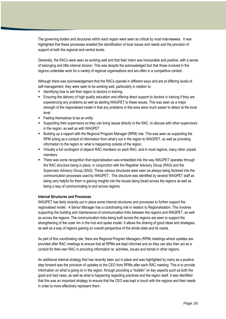The governing bodies and structures within each region were seen as critical by most interviewees. It was highlighted that these processes enabled the identification of local issues and needs and the provision of support at both the regional and central levels.

Generally, the RACs were seen as working well and that their intent was honourable and positive, with a sense of belonging and little internal division. This was despite the acknowledged fact that those involved in the regions undertake work for a variety of regional organisations and are often in a competitive context.

Although there was acknowledgement that the RACs operate in different ways and are at differing levels of self-management, they were seen to be working well, particularly in relation to:

- Identifying how to sell their region to doctors in training
- Ensuring the delivery of high quality education and offering direct support to doctors in training if they are experiencing any problems as well as alerting WAGPET to these issues. This was seen as a major strength of the regionalised model in that any problems in this area were much easier to detect at the local level.
- **Feeling themselves to be an entity**
- Supporting their supervisors so they can bring issues directly to the RAC, to discuss with other supervisors in the region, as well as with WAGPET
- Building up a rapport with the Regional Program Manager (RPM) role. This was seen as supporting the RPM acting as a conduit of information from what"s out in the region to WAGPET, as well as providing information to the region re: what is happening outside of the region.
- Virtually a full contingent of stipend RAC members on each RAC, and in most regions, many other unpaid members
- There was some recognition that regionalisation was embedded into the way WAGPET operates through the RAC structure being in place, in conjunction with the Registrar Advisory Group (RAG) and the Supervisor Advisory Group (SAG). These various structures were seen as always being factored into the communication processes used by WAGPET. This structure was identified by several WAGPET staff as being very helpful for them in gaining insights into the issues being faced across the regions as well as being a way of communicating to and across regions.

#### **Internal Structures and Processes**

WAGPET has fairly recently put in place some internal structures and processes to further support the regionalised model. A Senior Manager has a coordinating role in relation to Regionalisation. This involves supporting the building and maintenance of communication links between the regions and WAGPET, as well as across the regions. The communication links being built across the regions are seen to support the strengthening of the outer rim in the hub and spoke model. It allows the sharing of good ideas and strategies, as well as a way of regions gaining an overall perspective of the whole state and its needs.

As part of this coordinating role, there are Regional Program Managers (RPM) meetings where updates are provided after RAC meetings to ensure that all RPMs are kept informed and so they can also then act as a conduit for their own RAC in providing information re: activities, issues and trends in other regions.

An additional internal strategy that has recently been put in place and was highlighted by many as a positive step forward was the provision of updates to the CEO from RPMs after each RAC meeting. This is to provide information on what is going on in the region, through providing a "bulletin" on key aspects such as both the good and bad news, as well as what is happening regarding practices and the region itself. It was identified that this was an important strategy to ensure that the CEO was kept in touch with the regions and their needs in order to more effectively represent them.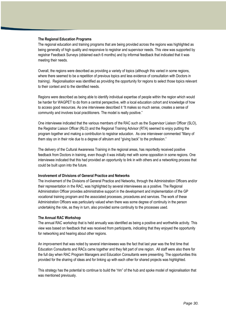#### **The Regional Education Programs**

The regional education and training programs that are being provided across the regions was highlighted as being generally of high quality and responsive to registrar and supervisor needs. This view was supported by registrar Feedback Surveys (obtained each 6 months) and by informal feedback that indicated that it was meeting their needs.

Overall, the regions were described as providing a variety of topics (although this varied in some regions, where there seemed to be a repetition of previous topics and less evidence of consultation with Doctors in training). Regionalisation was identified as providing the opportunity for regions to select those topics relevant to their context and to the identified needs.

Regions were described as being able to identify individual expertise of people within the region which would be harder for WAGPET to do from a central perspective, with a local education cohort and knowledge of how to access good resources. As one interviewee described it "It makes so much sense, creates a sense of community and involves local practitioners. The model is really positive."

One interviewee indicated that the various members of the RAC such as the Supervisor Liaison Officer (SLO), the Registrar Liaison Officer (RLO) and the Regional Training Advisor (RTA) seemed to enjoy putting the program together and making a contribution to registrar education. As one interviewer commented "Many of them stay on in their role due to a degree of altruism and "giving back" to the profession."

The delivery of the Cultural Awareness Training in the regional areas, has reportedly received positive feedback from Doctors in training, even though it was initially met with some opposition in some regions. One interviewee indicated that this had provided an opportunity to link in with others and a networking process that could be built upon into the future.

#### **Involvement of Divisions of General Practice and Networks**

The involvement of the Divisions of General Practice and Networks, through the Administration Officers and/or their representation in the RAC, was highlighted by several interviewees as a positive. The Regional Administration Officer provides administrative support in the development and implementation of the GP vocational training program and the associated processes, procedures and services. The work of these Administration Officers was particularly valued when there was some degree of continuity in the person undertaking the role, as they in turn, also provided some continuity to the processes used.

#### **The Annual RAC Workshop**

The annual RAC workshop that is held annually was identified as being a positive and worthwhile activity. This view was based on feedback that was received from participants, indicating that they enjoyed the opportunity for networking and hearing about other regions.

An improvement that was noted by several interviewees was the fact that last year was the first time that Education Consultants and RACs came together and they felt part of one region. All staff were also there for the full day when RAC Program Managers and Education Consultants were presenting. The opportunities this provided for the sharing of ideas and for linking up with each other for shared projects was highlighted.

This strategy has the potential to continue to build the "rim" of the hub and spoke model of regionalisation that was mentioned previously.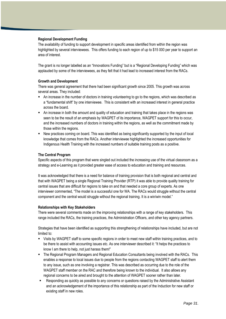#### **Regional Development Funding**

The availability of funding to support development in specific areas identified from within the region was highlighted by several interviewees. This offers funding to each region of up to \$15 000 per year to support an area of interest.

The grant is no longer labelled as an "Innovations Funding" but is a "Regional Developing Funding" which was applauded by some of the interviewees, as they felt that it had lead to increased interest from the RACs.

#### **Growth and Development**

There was general agreement that there had been significant growth since 2005. This growth was across several areas. They included:

- An increase in the number of doctors in training volunteering to go to the regions, which was described as a "fundamental shift" by one interviewee. This is consistent with an increased interest in general practice across the board.
- An increase in both the amount and quality of education and training that takes place in the regions was seen to be the result of an emphasis by WAGPET of its importance, WAGPET support for this to occur, and the increased numbers of doctors in training within the regions, as well as the commitment made by those within the regions.
- New practices coming on board. This was identified as being significantly supported by the input of local knowledge that comes from the RACs. Another interviewee highlighted the increased opportunities for Indigenous Health Training with the increased numbers of suitable training posts as a positive.

#### **The Central Program**

Specific aspects of this program that were singled out included the increasing use of the virtual classroom as a strategy and e-Learning as it provided greater ease of access to education and training and resources.

It was acknowledged that there is a need for balance of training provision that is both regional and central and that with WAGPET being a single Regional Training Provider (RTP) it was able to provide quality training for central issues that are difficult for regions to take on and that needed a core group of experts. As one interviewer commented, "The model is a successful one for WA. The RACs would struggle without the central component and the central would struggle without the regional training. It is a win/win model."

#### **Relationships with Key Stakeholders**

There were several comments made on the improving relationships with a range of key stakeholders. This range included the RACs, the training practices, the Administration Officers, and other key agency partners.

Strategies that have been identified as supporting this strengthening of relationships have included, but are not limited to:

- Visits by WAGPET staff to some specific regions in order to meet new staff within training practices, and to be there to assist with accounting issues etc. As one interviewer described it: "It helps the practices to know I am there to help, not just harass them!"
- The Regional Program Managers and Regional Education Consultants being involved with the RACs. This enables a response to local issues due to people from the regions contacting WAGPET staff to alert them to any issue, such as one involving a registrar. This was described as occurring due to the role of the WAGPET staff member on the RAC and therefore being known to the individual. It also allows any regional concerns to be aired and brought to the attention of WAGPET sooner rather than later.
- Responding as quickly as possible to any concerns or questions raised by the Administrative Assistant and an acknowledgement of the importance of this relationship as part of the Induction for new staff or existing staff in new roles.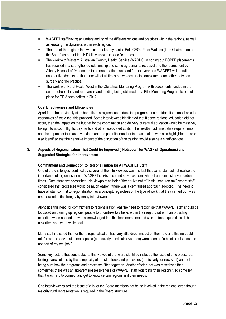- WAGPET staff having an understanding of the different regions and practices within the regions, as well as knowing the dynamics within each region.
- The tour of the regions that was undertaken by Janice Bell (CEO), Peter Wallace (then Chairperson of the Board) as part of the IHT follow-up with a specific purpose.
- The work with Western Australian Country Health Service (WACHS) in sorting out PGPPP placements has resulted in a strengthened relationship and some agreements re: travel and the recruitment by Albany Hospital of five doctors to do one rotation each and for next year and WAGPET will recruit another five doctors so that there will at all times be two doctors to complement each other between surgery and the practice.
- The work with Rural Health West in the Obstetrics Mentoring Program with placements funded in the outer metropolitan and rural areas and funding being obtained for a Pilot Mentoring Program to be put in place for GP Anaesthetists in 2012.

#### **Cost Effectiveness and Efficiencies**

Apart from the previously cited benefits of a regionalised education program, another identified benefit was the economies of scale that this provided. Some interviewees highlighted that if some regional education did not occur, then the impact on the budget for the coordination and delivery of central education would be massive, taking into account flights, payments and other associated costs. The resultant administrative requirements and the impact for increased workload and the potential need for increased staff, was also highlighted. It was also identified that the negative impact of the disruption of the training would also be a significant cost.

# **3. Aspects of Regionalisation That Could Be Improved ("Hotspots" for WAGPET Operations) and Suggested Strategies for Improvement**

#### **Commitment and Connection to Regionalisation for All WAGPET Staff**

One of the challenges identified by several of the interviewees was the fact that some staff did not realise the importance of regionalisation to WAGPET"s existence and saw it as somewhat of an administrative burden at times. One interviewer described this viewpoint as being "the equivalent of "institutional racism"", where staff considered that processes would be much easier if there was a centralised approach adopted. The need to have all staff commit to regionalisation as a concept, regardless of the type of work that they carried out, was emphasised quite strongly by many interviewees.

Alongside this need for commitment to regionalisation was the need to recognise that WAGPET staff should be focussed on training up regional people to undertake key tasks within their region, rather than providing expertise when needed. It was acknowledged that this took more time and was at times, quite difficult, but nevertheless a worthwhile goal.

Many staff indicated that for them, regionalisation had very little direct impact on their role and this no doubt reinforced the view that some aspects (particularly administrative ones) were seen as "a bit of a nuisance and not part of my real job."

Some key factors that contributed to this viewpoint that were identified included the issue of time pressures, feeling overwhelmed by the complexity of the structures and processes (particularly for new staff) and not being sure how the programs and processes fitted together. Another factor that was raised was that sometimes there was an apparent possessiveness of WAGPET staff regarding "their regions", so some felt that it was hard to connect and get to know certain regions and their needs.

One interviewer raised the issue of a lot of the Board members not being involved in the regions, even though majority rural representation is required in the Board structure.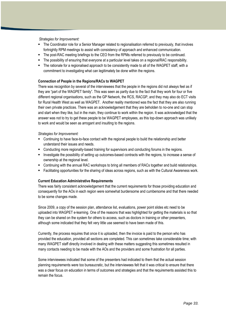*Strategies for Improvement:*

- The Coordinator role for a Senior Manager related to regionalisation referred to previously, that involves fortnightly RPM meetings to assist with consistency of approach and enhanced communication.
- The post-RAC meeting briefings to the CEO from the RPMs referred to previously to be continued.
- The possibility of ensuring that everyone at a particular level takes on a regional/RAC responsibility.
- The rationale for a regionalised approach to be consistently made to all of the WAGPET staff, with a commitment to investigating what can legitimately be done within the regions.

## **Connection of People in the Regions/RACs to WAGPET**

There was recognition by several of the interviewees that the people in the regions did not always feel as if they are "part of the WAGPET family". This was seen as partly due to the fact that they work for four or five different regional organisations, such as the GP Network, the RCS, RACGP, and they may also do ECT visits for Rural Health West as well as WAGPET. Another reality mentioned was the fact that they are also running their own private practices. There was an acknowledgement that they are beholden to no-one and can stop and start when they like, but in the main, they continue to work within the region. It was acknowledged that the answer was not to try to get these people to be WAGPET employees, as this top-down approach was unlikely to work and would be seen as arrogant and insulting to the regions.

#### *Strategies for Improvement:*

- Continuing to have face-to-face contact with the regional people to build the relationship and better understand their issues and needs.
- Conducting more regionally-based training for supervisors and conducting forums in the regions.
- Investigate the possibility of setting up outcomes-based contracts with the regions, to increase a sense of ownership at the regional level.
- Continuing with the annual RAC workshops to bring all members of RACs together and build relationships.
- Facilitating opportunities for the sharing of ideas across regions, such as with the Cultural Awareness work.

## **Current Education Administrative Requirements**

There was fairly consistent acknowledgement that the current requirements for those providing education and consequently for the AOs in each region were somewhat burdensome and cumbersome and that there needed to be some changes made.

Since 2009, a copy of the session plan, attendance list, evaluations, power point slides etc need to be uploaded into WAGPET e-learning. One of the reasons that was highlighted for getting the materials is so that they can be shared on the system for others to access, such as doctors in training or other presenters, although some indicated that they felt very little use seemed to have been made of this.

Currently, the process requires that once it is uploaded, then the invoice is paid to the person who has provided the education, provided all sections are completed. This can sometimes take considerable time; with many WAGPET staff directly involved in dealing with these matters suggesting this sometimes resulted in many contacts needing to be made with the AOs and the providers and some frustration for all parties.

Some interviewees indicated that some of the presenters had indicated to them that the actual session planning requirements were too bureaucratic, but the interviewees felt that it was critical to ensure that there was a clear focus on education in terms of outcomes and strategies and that the requirements assisted this to remain the focus.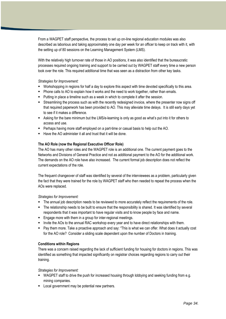From a WAGPET staff perspective, the process to set up on-line regional education modules was also described as laborious and taking approximately one day per week for an officer to keep on track with it, with the setting up of 80 sessions on the Learning Management System (LMS).

With the relatively high turnover rate of those in AO positions, it was also identified that the bureaucratic processes required ongoing training and support to be carried out by WAGPET staff every time a new person took over the role. This required additional time that was seen as a distraction from other key tasks.

## *Strategies for Improvement:*

- Workshopping in regions for half a day to explore this aspect with time devoted specifically to this area.
- Phone calls to AO to explain how it works and the need to work together, rather than emails.
- **Putting in place a timeline such as a week in which to complete it after the session.**
- Streamlining the process such as with the recently redesigned invoice, where the presenter now signs off that required paperwork has been provided to AO. This may alleviate time delays. It is still early days yet to see if it makes a difference.
- Asking for the bare minimum but the LMS/e-learning is only as good as what"s put into it for others to access and use.
- Perhaps having more staff employed on a part-time or casual basis to help out the AO.
- $\blacksquare$  Have the AO administer it all and trust that it will be done.

## **The AO Role (now the Regional Executive Officer Role)**

The AO has many other roles and the WAGPET role is an additional one. The current payment goes to the Networks and Divisions of General Practice and not as additional payment to the AO for the additional work. The demands on the AO role have also increased. The current formal job description does not reflect the current expectations of the role.

The frequent changeover of staff was identified by several of the interviewees as a problem, particularly given the fact that they were trained for the role by WAGPET staff who then needed to repeat the process when the AOs were replaced.

#### *Strategies for Improvement:*

- The annual job description needs to be reviewed to more accurately reflect the requirements of the role.
- The relationship needs to be built to ensure that the responsibility is shared. It was identified by several respondents that it was important to have regular visits and to know people by face and name.
- **Engage more with them in a group for inter-regional meetings.**
- Invite the AOs to the annual RAC workshop every year and to have direct relationships with them.
- Pay them more. Take a proactive approach and say: "This is what we can offer. What does it actually cost for the AO role? Consider a sliding scale dependent upon the number of Doctors in training.

## **Conditions within Regions**

There was a concern raised regarding the lack of sufficient funding for housing for doctors in regions. This was identified as something that impacted significantly on registrar choices regarding regions to carry out their training.

#### *Strategies for Improvement:*

- WAGPET staff to drive the push for increased housing through lobbying and seeking funding from e.g. mining companies.
- **Local government may be potential new partners.**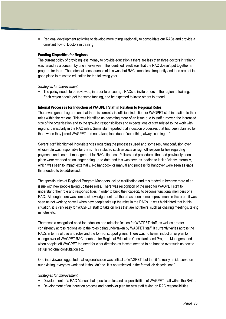**•** Regional development activities to develop more things regionally to consolidate our RACs and provide a constant flow of Doctors in training.

#### **Funding Disparities for Regions**

The current policy of providing less money to provide education if there are less than three doctors in training was raised as a concern by one interviewee. The identified result was that the RAC doesn"t put together a program for them. The potential consequence of this was that RACs meet less frequently and then are not in a good place to reinstate education for the following year.

*Strategies for Improvement:*

 The policy needs to be reviewed, in order to encourage RACs to invite others in the region to training. Each region should get the same funding, and be expected to invite others to attend.

#### **Internal Processes for Induction of WAGPET Staff in Relation to Regional Roles**

There was general agreement that there is currently insufficient induction for WAGPET staff in relation to their roles within the regions. This was identified as becoming more of an issue due to staff turnover, the increased size of the organisation and to the growing responsibilities and expectations of staff related to the work with regions, particularly in the RAC roles. Some staff reported that induction processes that had been planned for them when they joined WAGPET had not taken place due to "something always coming up".

Several staff highlighted inconsistencies regarding the processes used and some resultant confusion over whose role was responsible for them. This included such aspects as sign off responsibilities regarding payments and contract management for RAC stipends. Policies and procedures that had previously been in place were reported as no longer being up-to-date and this was seen as leading to lack of clarity internally, which was seen to impact externally. No handbook or manual and process for handover were seen as gaps that needed to be addressed.

The specific roles of Regional Program Managers lacked clarification and this tended to become more of an issue with new people taking up these roles. There was recognition of the need for WAGPET staff to understand their role and responsibilities in order to build their capacity to become functional members of a RAC. Although there was some acknowledgement that there has been some improvement in this area, it was seen as not working so well when new people take up the roles in the RACs. It was highlighted that in this situation, it is very easy for WAGPET staff to take on roles that are not theirs, such as chairing meetings, taking minutes etc.

There was a recognised need for induction and role clarification for WAGPET staff, as well as greater consistency across regions as to the roles being undertaken by WAGPET staff. It currently varies across the RACs in terms of use and roles and the form of support given. There was no formal induction or plan for change-over of WAGPET RAC members for Regional Education Consultants and Program Managers, and when people left WAGPET the need for clear direction as to what needed to be handed over such as how to set up regional consultation etc.

One interviewee suggested that regionalisation was critical to WAGPET, but that it "is really a side serve on our existing, everyday work and it shouldn"t be. It is not reflected in the formal job descriptions."

#### *Strategies for Improvement:*

- Development of a RAC Manual that specifies roles and responsibilities of WAGPET staff within the RACs.
- **Development of an induction process and handover plan for new staff taking on RAC responsibilities.**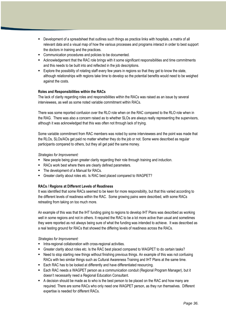- Development of a spreadsheet that outlines such things as practice links with hospitals, a matrix of all relevant data and a visual map of how the various processes and programs interact in order to best support the doctors in training and the practices.
- **Communication procedures and policies to be documented.**
- Acknowledgement that the RAC role brings with it some significant responsibilities and time commitments and this needs to be built into and reflected in the job descriptions.
- Explore the possibility of rotating staff every few years in regions so that they get to know the state, although relationships with regions take time to develop so the potential benefits would need to be weighed against the costs.

## **Roles and Responsibilities within the RACs**

The lack of clarity regarding roles and responsibilities within the RACs was raised as an issue by several interviewees, as well as some noted variable commitment within RACs.

There was some reported confusion over the RLO role when on the RAC compared to the RLO role when in the RAG. There was also a concern raised as to whether SLOs are always really representing the supervisors, although it was acknowledged that this was often not through lack of trying.

Some variable commitment from RAC members was noted by some interviewees and the point was made that the RLOs, SLOs/AOs get paid no matter whether they do the job or not. Some were described as regular participants compared to others, but they all get paid the same money.

#### *Strategies for Improvement:*

- New people being given greater clarity regarding their role through training and induction.
- RACs work best where there are clearly defined parameters.
- The development of a Manual for RACs.
- Greater clarity about roles etc. Is RAC best placed compared to WAGPET?

#### **RACs / Regions at Different Levels of Readiness**

It was identified that some RACs seemed to be keen for more responsibility, but that this varied according to the different levels of readiness within the RAC. Some growing pains were described, with some RACs retreating from taking on too much more.

An example of this was that the IHT funding going to regions to develop IHT Plans was described as working well in some regions and not in others. It required the RAC to be a lot more active than usual and sometimes they were reported as not always being sure of what the funding was intended to achieve. It was described as a real testing ground for RACs that showed the differing levels of readiness across the RACs.

*Strategies for Improvement:*

- **Intra-regional collaboration with cross-regional activities.**
- **F** Greater clarity about roles etc. Is the RAC best placed compared to WAGPET to do certain tasks?
- Need to stop starting new things without finishing previous things. An example of this was not confusing RACs with two similar things such as Cultural Awareness Training and IHT Plans at the same time.
- Each RAC has to be looked at differently and have differentiated resourcing.
- Each RAC needs a WAGPET person as a communication conduit (Regional Program Manager), but it doesn"t necessarily need a Regional Education Consultant.
- A decision should be made as to who is the best person to be placed on the RAC and how many are required. There are some RACs who only need one WAGPET person, as they run themselves. Different expertise is needed for different RACs.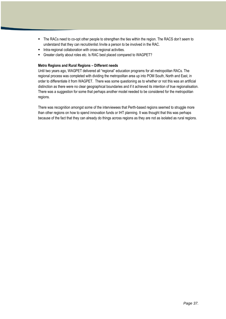- The RACs need to co-opt other people to strengthen the ties within the region. The RACS don"t seem to understand that they can recruit/enlist /invite a person to be involved in the RAC.
- **Intra-regional collaboration with cross-regional activities.**
- Greater clarity about roles etc. Is RAC best placed compared to WAGPET?

## **Metro Regions and Rural Regions – Different needs**

Until two years ago, WAGPET delivered all "regional" education programs for all metropolitan RACs. The regional process was completed with dividing the metropolitan area up into POM South, North and East, in order to differentiate it from WAGPET. There was some questioning as to whether or not this was an artificial distinction as there were no clear geographical boundaries and if it achieved its intention of true regionalisation. There was a suggestion for some that perhaps another model needed to be considered for the metropolitan regions.

There was recognition amongst some of the interviewees that Perth-based regions seemed to struggle more than other regions on how to spend innovation funds or IHT planning. It was thought that this was perhaps because of the fact that they can already do things across regions as they are not as isolated as rural regions.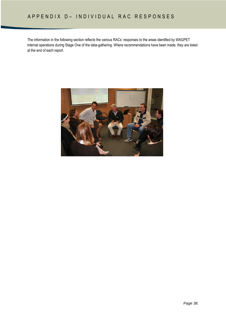The information in the following section reflects the various RACs" responses to the areas identified by WAGPET internal operations during Stage One of the data-gathering. Where recommendations have been made, they are listed at the end of each report.

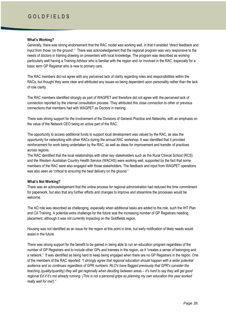# G O L D F I E L D S

#### **What's Working?**

Generally, there was strong endorsement that the RAC model was working well, in that it enabled "direct feedback and input from those "on the ground"." There was acknowledgement that the regional program was very responsive to the needs of doctors in training drawing on presenters with local knowledge. The program was described as working particularly well having a Training Advisor who is familiar with the region and /or involved in the RAC, especially for a basic term GP Registrar who is new to primary care.

The RAC members did not agree with any perceived lack of clarity regarding roles and responsibilities within the RACs, but thought they were clear and attributed any issues as being dependent upon personality rather than the lack of role clarity.

The RAC members identified strongly as part of WAGPET and therefore did not agree with the perceived lack of connection reported by the internal consultation process. They attributed this close connection to other or previous connections that members had with WAGPET as Doctors in training.

There was strong support for the involvement of the Divisions of General Practice and Networks, with an emphasis on the value of the Network CEO being an active part of the RAC.

The opportunity to access additional funds to support local development was valued by the RAC, as was the opportunity for networking with other RACs during the annual RAC workshop. It was identified that it provided reinforcement for work being undertaken by the RAC, as well as ideas for improvement and transfer of practices across regions.

The RAC identified that the local relationships with other key stakeholders such as the Rural Clinical School (RCS) and the Western Australian Country Health Service (WACHS) were working well, supported by the fact that some members of the RAC were also engaged with those stakeholders. The feedback and input from WAGPET operations was also seen as "critical to ensuring the best delivery on the ground."

## **What's Not Working?**

There was an acknowledgement that the online process for regional administration had reduced the time commitment for paperwork, but also that any further efforts and changes to improve and streamline the processes would be welcome.

The AO role was described as challenging, especially when additional tasks are added to the role, such the IHT Plan and CA Training. A potential extra challenge for the future was the increasing number of GP Registrars needing placement, although it was not currently impacting on the Goldfields region.

Housing was not identified as an issue for the region at this point in time, but early notification of likely needs would assist in the future.

There was strong support for the benefit to be gained in being able to run an education program regardless of the number of GP Registrars and to include other GPs and trainees in the region, as it "creates a sense of belonging and a network." It was identified as being hard to keep being engaged when there are no GP Registrars in the region. One of the members of the RAC reported: *"I strongly agree that regional education should happen with a wider potential audience and so continues regardless of GPR numbers. RLO's have flagged previously that GPR's consider the teaching (quality/quantity) they will get regionally when deciding between areas – it's hard to say they will get good regional Ed if it"s not already running. (This is not a personal gripe as planning my own education this year worked really well for me!)."*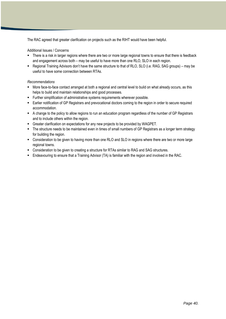The RAC agreed that greater clarification on projects such as the RIHT would have been helpful.

## Additional Issues / Concerns

- There is a risk in larger regions where there are two or more large regional towns to ensure that there is feedback and engagement across both – may be useful to have more than one RLO, SLO in each region.
- Regional Training Advisors don"t have the same structure to that of RLO, SLO (i.e. RAG, SAG groups) may be useful to have some connection between RTAs.

- More face-to-face contact arranged at both a regional and central level to build on what already occurs, as this helps to build and maintain relationships and good processes.
- **Further simplification of administrative systems requirements wherever possible.**
- Earlier notification of GP Registrars and prevocational doctors coming to the region in order to secure required accommodation.
- A change to the policy to allow regions to run an education program regardless of the number of GP Registrars and to include others within the region.
- Greater clarification on expectations for any new projects to be provided by WAGPET.
- The structure needs to be maintained even in times of small numbers of GP Registrars as a longer term strategy for building the region.
- Consideration to be given to having more than one RLO and SLO in regions where there are two or more large regional towns.
- **EXECONS** Consideration to be given to creating a structure for RTAs similar to RAG and SAG structures.
- Endeavouring to ensure that a Training Advisor (TA) is familiar with the region and involved in the RAC.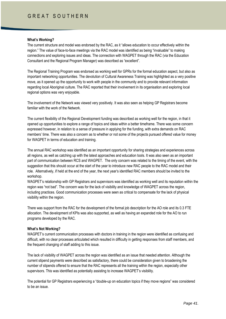## GREAT SOUTHERN

## **What's Working?**

The current structure and model was endorsed by the RAC, as it "allows education to occur effectively within the region." The value of face-to-face meetings via the RAC model was identified as being "invaluable" to making connections and exploring issues and ideas. The connection with WAGPET through the RAC (via the Education Consultant and the Regional Program Manager) was described as "excellent".

The Regional Training Program was endorsed as working well for GPRs for the formal education aspect, but also as important networking opportunities. The devolution of Cultural Awareness Training was highlighted as a very positive move, as it opened up the opportunity to work with people in the community and to provide relevant information regarding local Aboriginal culture. The RAC reported that their involvement in its organisation and exploring local regional options was very enjoyable.

The involvement of the Network was viewed very positively. It was also seen as helping GP Registrars become familiar with the work of the Network.

The current flexibility of the Regional Development funding was described as working well for the region, in that it opened up opportunities to explore a range of topics and ideas within a better timeframe. There was some concern expressed however, in relation to a sense of pressure in applying for the funding, with extra demands on RAC members' time. There was also a concern as to whether or not some of the projects pursued offered value for money for WAGPET in terms of education and training.

The annual RAC workshop was identified as an important opportunity for sharing strategies and experiences across all regions, as well as catching up with the latest approaches and education tools. It was also seen as an important part of communication between RCS and WAGPET. The only concern was related to the timing of the event, with the suggestion that this should occur at the start of the year to introduce new RAC people to the RAC model and their role. Alternatively, if held at the end of the year, the next year"s identified RAC members should be invited to the workshop.

WAGPET"s relationship with GP Registrars and supervisors was identified as working well and its reputation within the region was "not bad". The concern was for the lack of visibility and knowledge of WAGPET across the region, including practices. Good communication processes were seen as critical to compensate for the lack of physical visibility within the region.

There was support from the RAC for the development of the formal job description for the AO role and its 0.3 FTE allocation. The development of KPIs was also supported, as well as having an expanded role for the AO to run programs developed by the RAC.

## **What's Not Working?**

WAGPET's current communication processes with doctors in training in the region were identified as confusing and difficult, with no clear processes articulated which resulted in difficulty in getting responses from staff members, and the frequent changing of staff adding to this issue.

The lack of visibility of WAGPET across the region was identified as an issue that needed attention. Although the current stipend payments were described as satisfactory, there could be consideration given to broadening the number of stipends offered to ensure that the RAC represents all the training within the region, especially other supervisors. This was identified as potentially assisting to increase WAGPET"s visibility.

The potential for GP Registrars experiencing a "double-up on education topics if they move regions" was considered to be an issue.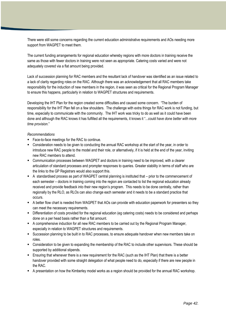There were still some concerns regarding the current education administrative requirements and AOs needing more support from WAGPET to meet them.

The current funding arrangements for regional education whereby regions with more doctors in training receive the same as those with fewer doctors in training were not seen as appropriate. Catering costs varied and were not adequately covered via a flat amount being provided.

Lack of succession planning for RAC members and the resultant lack of handover was identified as an issue related to a lack of clarity regarding roles on the RAC. Although there was an acknowledgement that all RAC members take responsibility for the induction of new members in the region, it was seen as critical for the Regional Program Manager to ensure this happens, particularly in relation to WAGPET structures and requirements.

Developing the IHT Plan for the region created some difficulties and caused some concern. "The burden of responsibility for the IHT Plan fell on a few shoulders. The challenge with extra things for RAC work is not funding, but time, especially to communicate with the community. The IHT work was tricky to do as well as it could have been done and although the RAC knows it has fulfilled all the requirements, it knows it "...*could have done better with more time provision*."

- Face-to-face meetings for the RAC to continue.
- Consideration needs to be given to conducting the annual RAC workshop at the start of the year, in order to introduce new RAC people to the model and their role, or alternatively, if it is held at the end of the year, inviting new RAC members to attend.
- Communication processes between WAGPET and doctors in training need to be improved, with a clearer articulation of standard processes and prompter responses to queries. Greater stability in terms of staff who are the links to the GP Registrars would also support this.
- A standardised process as part of WAGPET central planning is instituted that prior to the commencement of each semester – doctors in training coming into the region are contacted to list the regional education already received and provide feedback into their new region"s program. This needs to be done centrally, rather than regionally by the RLO, as RLOs can also change each semester and it needs to be a standard practice that occurs.
- A better flow chart is needed from WAGPET that AOs can provide with education paperwork for presenters so they can meet the necessary requirements.
- Differentiation of costs provided for the regional education (eg catering costs) needs to be considered and perhaps done on a per head basis rather than a flat amount.
- A comprehensive induction for all new RAC members to be carried out by the Regional Program Manager, especially in relation to WAGPET structures and requirements.
- Succession planning to be built in to RAC processes, to ensure adequate handover when new members take on roles.
- Consideration to be given to expanding the membership of the RAC to include other supervisors. These should be supported by additional stipends.
- Ensuring that whenever there is a new requirement for the RAC (such as the IHT Plan) that there is a better handover provided with some straight delegation of what people need to do, especially if there are new people in the RAC.
- A presentation on how the Kimberley model works as a region should be provided for the annual RAC workshop.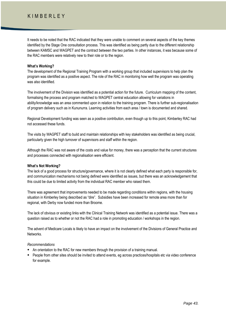## K I M B F R L F Y

It needs to be noted that the RAC indicated that they were unable to comment on several aspects of the key themes identified by the Stage One consultation process. This was identified as being partly due to the different relationship between KAMSC and WAGPET and the contract between the two parties. In other instances, it was because some of the RAC members were relatively new to their role or to the region.

#### **What's Working?**

The development of the Regional Training Program with a working group that included supervisors to help plan the program was identified as a positive aspect. The role of the RAC in monitoring how well the program was operating was also identified.

The involvement of the Division was identified as a potential action for the future. Curriculum mapping of the content, formalising the process and program matched to WAGPET central education allowing for variations in ability/knowledge was an area commented upon in relation to the training program. There is further sub-regionalisation of program delivery such as in Kununurra. Learning activities from each area / town is documented and shared.

Regional Development funding was seen as a positive contribution, even though up to this point, Kimberley RAC had not accessed these funds.

The visits by WAGPET staff to build and maintain relationships with key stakeholders was identified as being crucial, particularly given the high turnover of supervisors and staff within the region.

Although the RAC was not aware of the costs and value for money, there was a perception that the current structures and processes connected with regionalisation were efficient.

#### **What's Not Working?**

The lack of a good process for structure/governance, where it is not clearly defined what each party is responsible for, and communication mechanisms not being defined were identified as issues, but there was an acknowledgement that this could be due to limited activity from the individual RAC member who raised them.

There was agreement that improvements needed to be made regarding conditions within regions, with the housing situation in Kimberley being described as "dire". Subsidies have been increased for remote area more than for regional, with Derby now funded more than Broome.

The lack of obvious or existing links with the Clinical Training Network was identified as a potential issue. There was a question raised as to whether or not the RAC had a role in promoting education / workshops in the region.

The advent of Medicare Locals is likely to have an impact on the involvement of the Divisions of General Practice and Networks.

- An orientation to the RAC for new members through the provision of a training manual.
- People from other sites should be invited to attend events, eg across practices/hospitals etc via video conference for example.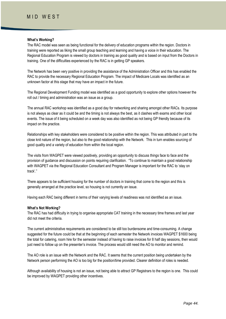## MID WEST

#### **What's Working?**

The RAC model was seen as being functional for the delivery of education programs within the region. Doctors in training were reported as liking the small group teaching and learning and having a voice in their education. The Regional Education Program is viewed by doctors in training as good quality and is based on input from the Doctors in training. One of the difficulties experienced by the RAC is in getting GP speakers.

The Network has been very positive in providing the assistance of the Administration Officer and this has enabled the RAC to provide the necessary Regional Education Program. The impact of Medicare Locals was identified as an unknown factor at this stage that may have an impact in the future.

The Regional Development Funding model was identified as a good opportunity to explore other options however the roll out / timing and administration was an issue as a group.

The annual RAC workshop was identified as a good day for networking and sharing amongst other RACs. Its purpose is not always as clear as it could be and the timing is not always the best, as it clashes with exams and other local events. The issue of it being scheduled on a week day was also identified as not being GP friendly because of its impact on the practice.

Relationships with key stakeholders were considered to be positive within the region. This was attributed in part to the close knit nature of the region, but also to the good relationship with the Network. This in turn enables sourcing of good quality and a variety of education from within the local region.

The visits from WAGPET were viewed positively, providing an opportunity to discuss things face to face and the provision of guidance and discussion on points requiring clarification. "To continue to maintain a good relationship with WAGPET via the Regional Education Consultant and Program Manager is important for the RAC to "stay on track"."

There appears to be sufficient housing for the number of doctors in training that come to the region and this is generally arranged at the practice level, so housing is not currently an issue.

Having each RAC being different in terms of their varying levels of readiness was not identified as an issue.

#### **What's Not Working?**

The RAC has had difficulty in trying to organise appropriate CAT training in the necessary time frames and last year did not meet the criteria.

The current administrative requirements are considered to be still too burdensome and time-consuming. A change suggested for the future could be that at the beginning of each semester the Network invoices WAGPET \$1600 being the total for catering, room hire for the semester instead of having to raise invoices for 8 half day sessions, then would just need to follow up on the presenter"s invoice. The process would still need the AO to monitor and remind.

The AO role is an issue with the Network and the RAC. It seems that the current position being undertaken by the Network person performing the AO is too big for the position/time provided. Clearer definition of roles is needed.

Although availability of housing is not an issue, not being able to attract GP Registrars to the region is one. This could be improved by WAGPET providing other incentives.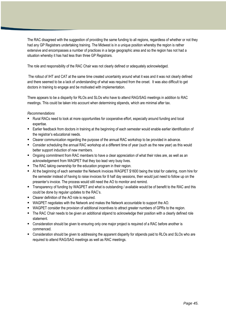The RAC disagreed with the suggestion of providing the same funding to all regions, regardless of whether or not they had any GP Registrars undertaking training. The Midwest is in a unique position whereby the region is rather extensive and encompasses a number of practices in a large geographic area and so the region has not had a situation whereby it has had less than three GP Registrars.

The role and responsibility of the RAC Chair was not clearly defined or adequately acknowledged.

The rollout of IHT and CAT at the same time created uncertainty around what it was and it was not clearly defined and there seemed to be a lack of understanding of what was required from the onset. It was also difficult to get doctors in training to engage and be motivated with implementation.

There appears to be a disparity for RLOs and SLOs who have to attend RAG/SAG meetings in addition to RAC meetings. This could be taken into account when determining stipends, which are minimal after tax.

- Rural RACs need to look at more opportunities for cooperative effort, especially around funding and local expertise.
- Earlier feedback from doctors in training at the beginning of each semester would enable earlier identification of the registrar"s educational needs.
- Clearer communication regarding the purpose of the annual RAC workshop to be provided in advance.
- Consider scheduling the annual RAC workshop at a different time of year (such as the new year) as this would better support induction of new members.
- Ongoing commitment from RAC members to have a clear appreciation of what their roles are, as well as an acknowledgement from WAGPET that they too lead very busy lives.
- **The RAC taking ownership for the education program in their region.**
- At the beginning of each semester the Network invoices WAGPET \$1600 being the total for catering, room hire for the semester instead of having to raise invoices for 8 half day sessions, then would just need to follow up on the presenter"s invoice. The process would still need the AO to monitor and remind.
- Transparency of funding by WAGPET and what is outstanding / available would be of benefit to the RAC and this could be done by regular updates to the RAC"s.
- Clearer definition of the AO role is required.
- WAGPET negotiates with the Network and makes the Network accountable to support the AO.
- WAGPET consider the provision of additional incentives to attract greater numbers of GPRs to the region.
- The RAC Chair needs to be given an additional stipend to acknowledge their position with a clearly defined role statement.
- Consideration should be given to ensuring only one major project is required of a RAC before another is commenced.
- Consideration should be given to addressing the apparent disparity for stipends paid to RLOs and SLOs who are required to attend RAG/SAG meetings as well as RAC meetings.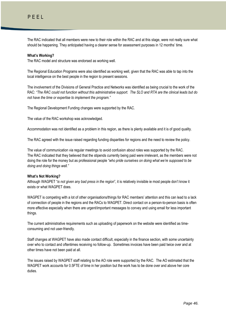The RAC indicated that all members were new to their role within the RAC and at this stage, were not really sure what should be happening. They anticipated having a clearer sense for assessment purposes in 12 months" time.

## **What's Working?**

The RAC model and structure was endorsed as working well.

The Regional Education Programs were also identified as working well, given that the RAC was able to tap into the local intelligence on the best people in the region to present sessions.

The involvement of the Divisions of General Practice and Networks was identified as being crucial to the work of the RAC: *"The RAC could not function without this administrative support. The SLO and RTA are the clinical leads but do not have the time or expertise to implement the program."*

The Regional Development Funding changes were supported by the RAC.

The value of the RAC workshop was acknowledged.

Accommodation was not identified as a problem in this region, as there is plenty available and it is of good quality.

The RAC agreed with the issue raised regarding funding disparities for regions and the need to review the policy.

The value of communication via regular meetings to avoid confusion about roles was supported by the RAC. The RAC indicated that they believed that the stipends currently being paid were irrelevant, as the members were not doing the role for the money but as professional people *"who pride ourselves on doing what we"re supposed to be doing and doing things well."*

## **What's Not Working?**

Although WAGPET "*is not given any bad press in the region*", it is relatively invisible ie most people don"t know it exists or what WAGPET does.

WAGPET is competing with a lot of other organisations/things for RAC members' attention and this can lead to a lack of connection of people in the regions and the RACs to WAGPET. Direct contact on a person-to-person basis is often more effective especially when there are urgent/important messages to convey and using email for less important things.

The current administrative requirements such as uploading of paperwork on the website were identified as timeconsuming and not user-friendly.

Staff changes at WAGPET have also made contact difficult, especially in the finance section, with some uncertainty over who to contact and oftentimes receiving no follow-up. Sometimes invoices have been paid twice over and at other times have not been paid at all.

The issues raised by WAGPET staff relating to the AO role were supported by the RAC. The AO estimated that the WAGPET work accounts for 0.5FTE of time in her position but the work has to be done over and above her core duties.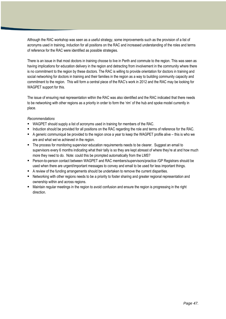Although the RAC workshop was seen as a useful strategy, some improvements such as the provision of a list of acronyms used in training, induction for all positions on the RAC and increased understanding of the roles and terms of reference for the RAC were identified as possible strategies.

There is an issue in that most doctors in training choose to live in Perth and commute to the region. This was seen as having implications for education delivery in the region and detracting from involvement in the community where there is no commitment to the region by these doctors. The RAC is willing to provide orientation for doctors in training and social networking for doctors in training and their families in the region as a way to building community capacity and commitment to the region. This will form a central piece of the RAC"s work in 2012 and the RAC may be looking for WAGPET support for this.

The issue of ensuring real representation within the RAC was also identified and the RAC indicated that there needs to be networking with other regions as a priority in order to form the "rim" of the hub and spoke model currently in place.

- WAGPET should supply a list of acronyms used in training for members of the RAC.
- Induction should be provided for all positions on the RAC regarding the role and terms of reference for the RAC.
- A generic communiqué be provided to the region once a year to keep the WAGPET profile alive this is who we are and what we"ve achieved in the region.
- The process for monitoring supervisor education requirements needs to be clearer. Suggest an email to supervisors every 6 months indicating what their tally is so they are kept abreast of where they're at and how much more they need to do. Note: could this be prompted automatically from the LMS?
- Person-to-person contact between WAGPET and RAC members/supervisors/practice /GP Registrars should be used when there are urgent/important messages to convey and email to be used for less important things.
- A review of the funding arrangements should be undertaken to remove the current disparities.
- Networking with other regions needs to be a priority to foster sharing and greater regional representation and ownership within and across regions.
- Maintain regular meetings in the region to avoid confusion and ensure the region is progressing in the right direction.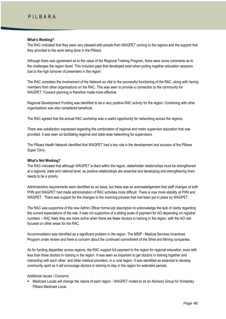## **What's Working?**

The RAC indicated that they were very pleased with people from WAGPET coming to the regions and the support that they provided to the work being done in the Pilbara.

Although there was agreement as to the value of the Regional Training Program, there were some comments as to the challenges the region faced. This included gaps that developed exist when putting together education sessions due to the high turnover of presenters in the region.

The RAC considers the involvement of the Network as vital to the successful functioning of the RAC, along with having members from other organisations on the RAC. This was seen to provide a connection to the community for WAGPET. Forward planning is therefore made more effective.

Regional Development Funding was identified to be a very positive RAC activity for the region. Combining with other organisations was also considered beneficial.

The RAC agreed that the annual RAC workshop was a useful opportunity for networking across the regions.

There was satisfaction expressed regarding the combination of regional and metro supervisor education that was provided. It was seen as facilitating regional and state-wide networking for supervisors.

The Pilbara Health Network identified that WAGPET had a key role in the development and success of the Pilbara Super Clinic.

## **What's Not Working?**

The RAC indicated that although WAGPET is liked within the region, stakeholder relationships must be strengthened at a regional, state and national level, as positive relationships are essential and developing and strengthening them needs to be a priority.

Administrative requirements were identified as an issue, but there was an acknowledgement that staff changes at both PHN and WAGPET had made administration of RAC activities more difficult. There is now more stability at PHN and WAGPET. There was support for the changes to the invoicing process that had been put in place by WAGPET.

The RAC was supportive of the new Admin Officer formal job description to acknowledge the lack of clarity regarding the current expectations of the role. It was not supportive of a sliding scale of payment for AO depending on registrar numbers – RAC feels they are more active when there are fewer doctors in training in the region, with the AO role focused on other areas for the RAC.

Accommodation was identified as a significant problem in the region. The MSIP - Medical Services Incentives Program under review and there is concern about the continued commitment of the Shire and Mining companies.

As for funding disparities across regions, the RAC support full payment to the region for regional education, even with less than three doctors in training in the region. It was seen as important to get doctors in training together and interacting with each other, and other medical providers, in a rural region. It was identified as essential to develop community spirit as it will encourage doctors in training to stay in the region for extended periods.

## Additional Issues / Concerns

 Medicare Locals will change the nature of each region - WAGPET invited to sit on Advisory Group for Kimberley Pilbara Medicare Local.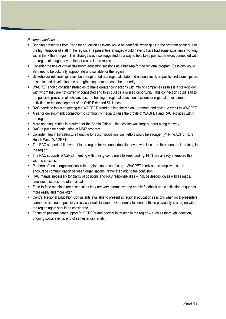- Bringing presenters from Perth for education sessions would be beneficial when gaps in the program occur due to the high turnover of staff in the region. The presenters engaged would have to have had some experience working within the Pilbara region. This strategy was also suggested as a way to help keep past supervisors connected with the region although they no longer reside in the region.
- Consider the use of virtual classroom education sessions as a back-up for the regional program. Sessions would still need to be culturally appropriate and suitable for the region.
- Stakeholder relationships must be strengthened at a regional, state and national level, as positive relationships are essential and developing and strengthening them needs to be a priority.
- WAGPET should consider strategies to make greater connections with mining companies as this is a stakeholder with whom they are not currently connected and this could be a missed opportunity. This connection could lead to the possible provision of scholarships, the hosting of regional education sessions or regional development activities, or the development of an OHS Extended Skills post.
- RAC needs to focus on getting the WAGPET brand out into the region promote and give due credit to WAGPET.
- Area for development: connection to community media to raise the profile of WAGPET and RAC activities within the region.
- More ongoing training is required for the Admin Officer the position was largely learnt along the way.
- RAC to push for continuation of MSIP program.
- Consider Health Infrastructure Funding for accommodation. Joint effort would be stronger (PHN, WACHS, Rural Health West, WAGPET).
- The RAC supports full payment to the region for regional education, even with less than three doctors in training in the region.
- The RAC supports WAGPET meeting with mining companies to seek funding. PHN has already attempted this with no success.
- Plethora of health organisations in the region can be confusing WAGPET is advised to simplify this and encourage communication between organisations, rather than add to the confusion.
- RAC manual necessary for clarity of positions and RAC responsibilities include description as well as maps, timelines, pictures and other visuals.
- Face-to-face meetings are essential as they are very informative and enable feedback and clarification of queries more easily and more often.
- Central Regional Education Consultants available to present at regional education sessions when local presenters cannot be attained – possibly also via virtual classroom. Opportunity to connect those previously in a region with the region again should be considered.
- Focus on pastoral care support for PGPPPs and doctors in training in the region such as thorough induction, ongoing social events, end of semester dinner etc.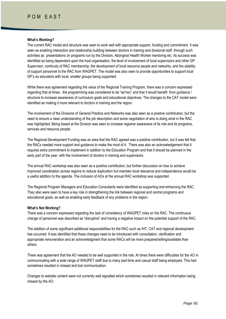## P O M E A S T

#### **What's Working?**

The current RAC model and structure was seen to work well with appropriate support, funding and commitment. It was seen as enabling interaction and relationship building between doctors in training and divisional staff, through such activities as presentations on programs run by the Division, Aboriginal Health Worker mentoring etc. Its success was identified as being dependent upon the host organisation, the level of involvement of local supervisors and other GP Supervisor, continuity of RAC membership, the development of local resource people and networks, and the stability of support personnel to the RAC from WAGPET. The model was also seen to provide opportunities to support local GP"s as educators with local, smaller groups being supported.

While there was agreement regarding the value of the Regional Training Program, there was a concern expressed regarding that at times , the programming was considered to be "ad hoc" and that it would benefit from guidance / structure to increase awareness of curriculum goals and educational objectives. The changes to the CAT model were identified as making it more relevant to doctors in training and the region.

The involvement of the Divisions of General Practice and Networks was also seen as a positive contribution, but the need to ensure a clear understanding of the job description and some negotiation of who is doing what in the RAC was highlighted. Being based at the Division was seen to increase registrar awareness of its role and its programs, services and resource people.

The Regional Development Funding was an area that the RAC agreed was a positive contribution, but it was felt that the RACs needed more support and guidance to make the most of it. There was also an acknowledgement that it requires extra commitment to implement in addition to the Education Program and that it should be planned in the early part of the year, with the involvement of doctors in training and supervisors.

The annual RAC workshop was also seen as a positive contribution, but further discussion on how to achieve improved coordination across regions to reduce duplication but maintain local relevance and independence would be a useful addition to the agenda. The inclusion of AOs at the annual RAC workshop was supported.

The Regional Program Managers and Education Consultants were identified as supporting and enhancing the RAC. They also were seen to have a key role in strengthening the link between regional and central programs and educational goals, as well as enabling early feedback of any problems in the region.

#### **What's Not Working?**

There was a concern expressed regarding the lack of consistency of WAGPET roles on the RAC. The continuous change of personnel was described as "disruptive" and having a negative impact on the potential support of the RAC.

The addition of some significant additional responsibilities for the RAC such as IHT, CAT and regional development has occurred. It was identified that these changes need to be introduced with consultation, clarification and appropriate remuneration and an acknowledgment that some RACs will be more prepared/willing/available than others.

There was agreement that the AO needed to be well supported in the role. At times there were difficulties for the AO in communicating with a wide range of WAGPET staff due to many part-time and casual staff being employed. This had sometimes resulted in missed and lost communication.

Changes to website content were not currently well signalled which sometimes resulted in relevant information being missed by the AO.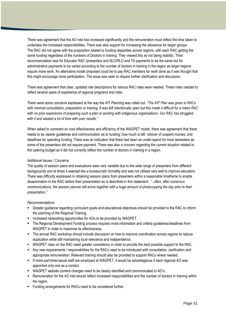There was agreement that the AO role has increased significantly and the remuneration must reflect the time taken to undertake the increased responsibilities. There was also support for increasing the allowance for larger groups. The RAC did not agree with the proposition related to funding disparities across regions, with each RAC getting the same funding regardless of the numbers of Doctors in training. They viewed this as not being realistic. Their recommendation was for Educator RAC /presenters and SLO/RLO and TA payments to be the same but for administrative payments to be varied according to the number of doctors in training in the region as larger regions require more work. An alternative model proposed could be to pay RAC members for work done as it was thought that this might encourage more participation. The issue was seen to require further clarification and discussion.

There was agreement that clear, updated role descriptions for various RAC roles were needed. These roles needed to reflect several years of experience of regional programs and roles.

There were some concerns expressed at the way the IHT Planning was rolled out. *"The IHT Plan was given to RACs with minimal consultation, preparation or training. It was left intentionally open but this made it difficult for a metro RAC with no prior experience of preparing such a plan or working with indigenous organisations. Our RAC has struggled with it and wasted a lot of time with poor results."*

When asked to comment on cost effectiveness and efficiency of the WAGPET model, there was agreement that there needs to be clearer guidelines and communication as to funding; how much is left, rollover of unspent monies, and deadlines for spending funding. There was an indication that there had been an under-spend for most semesters as some of the presenters did not require payment. There was also a concern regarding the current situation related to the catering budget as it did not currently reflect the number of doctors in training in a region.

## Additional Issues / Concerns

The quality of session plans and evaluations were very variable due to the wide range of presenters from different backgrounds and at times it seemed like a bureaucratic formality and was not utilised very well to improve education. There was difficulty expressed in obtaining session plans from presenters within a reasonable timeframe to enable dissemination to the RAC before their presentation as is described in this statement:. *"..often, after numerous communications, the session planner will arrive together with a huge amount of photocopying the day prior to their presentation."*

- Greater guidance regarding curriculum goals and educational objectives should be provided to the RAC to inform the planning of the Regional Training.
- **Increased networking opportunities for AOs to be provided by WAGPET.**
- The Regional Development Funding process requires more information and criteria guidelines/deadlines from WAGPET in order to maximise its effectiveness.
- The annual RAC workshop should include discussion on how to improve coordination across regions to reduce duplication while still maintaining local relevance and independence.
- WAGPET roles on the RAC need greater consistency in order to provide the best possible support to the RAC.
- Any new requirements / responsibilities for the RACs need to be introduced with consultation, clarification and appropriate remuneration. Relevant training should also be provided to support RACs where needed.
- If more part-time/casual staff are employed at WAGPET, it would be advantageous if each regional AO was appointed only one as a contact.
- WAGPET website content changes need to be clearly identified and communicated to AO"s.
- Remuneration for the AO role should reflect increased responsibilities and the number of doctors in training within the region.
- **Funding arrangements for RACs need to be considered further.**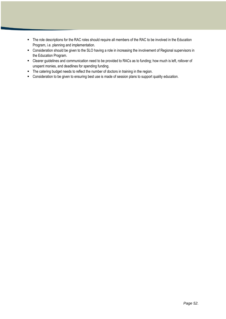- The role descriptions for the RAC roles should require all members of the RAC to be involved in the Education Program, i.e. planning and implementation.
- Consideration should be given to the SLO having a role in increasing the involvement of Regional supervisors in the Education Program.
- Clearer guidelines and communication need to be provided to RACs as to funding; how much is left, rollover of unspent monies, and deadlines for spending funding.
- **The catering budget needs to reflect the number of doctors in training in the region.**
- Consideration to be given to ensuring best use is made of session plans to support quality education.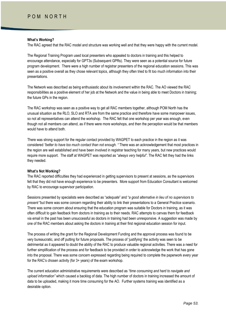## **What's Working?**

The RAC agreed that the RAC model and structure was working well and that they were happy with the current model.

The Regional Training Program used local presenters who appealed to doctors in training and this helped to encourage attendance, especially for GPT3s (Subsequent GPRs). They were seen as a potential source for future program development. There were a high number of registrar presenters of the regional education sessions. This was seen as a positive overall as they chose relevant topics, although they often tried to fit too much information into their presentations.

The Network was described as being enthusiastic about its involvement within the RAC. The AO viewed the RAC responsibilities as a positive element of her job at the Network and the value in being able to meet Doctors in training; the future GPs in the region.

The RAC workshop was seen as a positive way to get all RAC members together, although POM North has the unusual situation as the RLO, SLO and RTA are from the same practice and therefore have some manpower issues, so not all representatives can attend the workshop. The RAC felt that one workshop per year was enough, even though not all members can attend, as if there were more workshops, and then the perception would be that members would have to attend both.

There was strong support for the regular contact provided by WAGPET to each practice in the region as it was considered *"better to have too much contact than not enough. "* There was an acknowledgement that most practices in the region are well established and have been involved in registrar teaching for many years, but new practices would require more support. The staff at WAGPET was reported as "*always very helpful".* The RAC felt they had the links they needed.

## **What's Not Working?**

The RAC reported difficulties they had experienced in getting supervisors to present at sessions, as the supervisors felt that they did not have enough experience to be presenters. More support from Education Consultant is welcomed by RAC to encourage supervisor participation.

Sessions presented by specialists were described as "*adequate*" and "*a good alternative in lieu of no supervisors to present* "but there was some concern regarding their ability to link their presentations to a General Practice scenario. There was some concern about ensuring that the education program was suitable for Doctors in training, as it was often difficult to gain feedback from doctors in training as to their needs. RAC attempts to canvas them for feedback via email in the past has been unsuccessful as doctors in training had been unresponsive. A suggestion was made by one of the RAC members about asking the doctors in training at their first regional education session for input.

The process of writing the grant for the Regional Development Funding and the approval process was found to be very bureaucratic, and off putting for future proposals. The process of "justifying" the activity was seen to be detrimental as it appeared to doubt the ability of the RAC to produce valuable regional activities. There was a need for further simplification of the process and for feedback to be provided in order to acknowledge the work that has gone into the proposal. There was some concern expressed regarding being required to complete the paperwork every year for the RAC"s chosen activity (for 3+ years) of the exam workshop.

The current education administrative requirements were described as *"time consuming and hard to navigate and upload information"* which caused a backlog of data. The high number of doctors in training increased the amount of data to be uploaded, making it more time consuming for the AO. Further systems training was identified as a desirable option.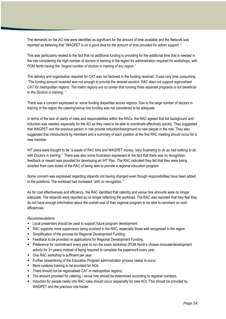The demands on the AO role were identified as significant for the amount of time available and the Network was reported as believing that "*WAGPET is on a good deal for the amount of time provided for admin support. "*

This was particularly related to the fact that no additional funding is providing for the additional time that is needed in the role considering the high number of doctors in training in the region for administration required for workshops, with POM North having the *"largest number of doctors in training of any region."*

The delivery and organisation required for CAT was not factored in the funding received. It was very time consuming. *"The funding amount received was not enough to provide the desired session. RAC does not support regionalised CAT for metropolitan regions. The metro regions are so similar that running three separate programs is not beneficial to the Doctors in training. "*

There was a concern expressed re: some funding disparities across regions. Due to the large number of doctors in training in the region the catering/venue hire funding was not considered to be adequate.

In terms of the lack of clarity of roles and responsibilities within the RACs, the RAC agreed that full background and induction was needed, especially for the AO as they need to be able to coordinate effectively quickly. They suggested that WAGPET and the previous person in role provide induction/background to new people in the role. They also suggested that introductions by members and a summary of each position at the first RAC meeting should occur for a new member.

IHT plans were thought to be "*a waste of RAC time and WAGPET money. Very frustrating to do as had nothing to do*  with Doctors in training." There was also some frustration expressed at the fact that there was no recognition. feedback or reward was provided for developing an IHT Plan. The RAC indicated they felt that they were being diverted from core duties of the RAC of being able to provide a regional education program.

Some concern was expressed regarding stipends not having changed even though responsibilities have been added to the positions. The workload had increased "*with no recognition."*

As for cost effectiveness and efficiency, the RAC identified that catering and venue hire amounts were no longer adequate. The stipends were reported as no longer reflecting the workload. The RAC also reported that they feel they do not have enough information about the overall cost of their regional program to be able to comment on costefficiencies.

- **Local presenters should be used to support future program development.**
- RAC supports more supervisors being involved in the RAC, especially those well recognised in the region.
- **Simplification of the process for Regional Development Funding.**
- **Feedback to be provided on applications for Regional Development Funding.**
- **Preference for commitment every year to run the exam workshop (POM North's chosen innovate/development** activity for 3+ years) instead of being required to complete the paperwork every year.
- One RAC workshop is sufficient per year.
- Further streamlining of the Education Program administration process needs to occur.
- **More systems training to be provided for AOs.**
- There should not be regionalised CAT in metropolitan regions.
- The amount provided for catering / venue hire should be determined according to registrar numbers.
- **Induction for people newly into RAC roles should occur (especially for new AO). This should be provided by** WAGPET and the previous role holder.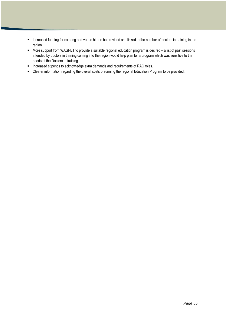- **Increased funding for catering and venue hire to be provided and linked to the number of doctors in training in the** region.
- More support from WAGPET to provide a suitable regional education program is desired a list of past sessions attended by doctors in training coming into the region would help plan for a program which was sensitive to the needs of the Doctors in training.
- **Increased stipends to acknowledge extra demands and requirements of RAC roles.**
- Clearer information regarding the overall costs of running the regional Education Program to be provided.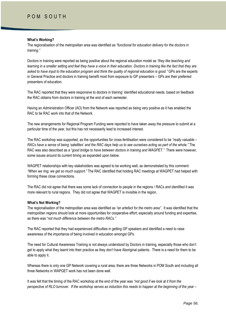## **What's Working?**

The regionalisation of the metropolitan area was identified as *"functional for education delivery for the doctors in training."*

Doctors in training were reported as being positive about the regional education model as *"they like teaching and learning in a smaller setting and feel they have a voice in their education. Doctors in training like the fact that they are asked to have input to the education program and think the quality of regional education is good."* GPs are the experts in General Practice and doctors in training benefit most from exposure to GP presenters – GPs are their preferred presenters of education.

The RAC reported that they were responsive to doctors in training" identified educational needs, based on feedback the RAC obtains from doctors in training at the end of each semester.

Having an Administration Officer (AO) from the Network was reported as being very positive as it has enabled the RAC to tie RAC work into that of the Network.

The new arrangements for Regional Program Funding were reported to have taken away the pressure to submit at a particular time of the year, but this has not necessarily lead to increased interest.

The RAC workshop was supported, as the opportunities for cross-fertilisation were considered to be *"really valuable – RACs have a sense of being "satellites" and the RAC days help us to see ourselves acting as part of the whole."* The RAC was also described as a "*good bridge to have between doctors in training and WAGPET."* There were however, some issues around its current timing as expanded upon below.

WAGPET relationships with key stakeholders was agreed to be working well, as demonstrated by this comment: *"When we ring, we get so much support."* The RAC identified that holding RAC meetings at WAGPET had helped with forming these close connections.

The RAC did not agree that there was some lack of connection to people in the regions / RACs and identified it was more relevant to rural regions. They did not agree that WAGPET is invisible in the region.

#### **What's Not Working?**

The regionalisation of the metropolitan area was identified as *"an artefact for the metro area".* It was identified that the metropolitan regions should look at more opportunities for cooperative effort; especially around funding and expertise, as there was "*not much difference between the metro RACs."*

The RAC reported that they had experienced difficulties in getting GP speakers and identified a need to raise awareness of the importance of being involved in education amongst GPs.

The need for Cultural Awareness Training is not always understood by Doctors in training, especially those who don"t get to apply what they learnt into their practice as they don"t have Aboriginal patients. There is a need for them to be able to apply it.

Whereas there is only one GP Network covering a rural area, there are three Networks in POM South and including all three Networks in WAPGET work has not been done well.

It was felt that the timing of the RAC workshop at the end of the year was *"not good if we look at it from the perspective of RLO turnover. If the workshop serves as induction this needs to happen at the beginning of the year –*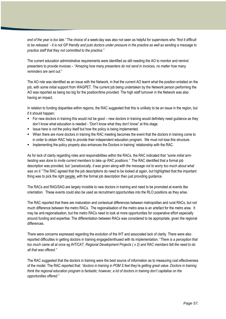*end of the year is too late."* The choice of a week-day was also not seen as helpful for supervisors who *"find it difficult to be released - it is not GP friendly and puts doctors under pressure in the practice as well as sending a message to practice staff that they not committed to the practice."*

The current education administrative requirements were identified as still needing the AO to monitor and remind presenters to provide invoices – *"Amazing how many presenters do not send in invoices, no matter how many reminders are sent out*."

The AO role was identified as an issue with the Network, in that the current AO learnt what the position entailed on the job, with some initial support from WAGPET. The current job being undertaken by the Network person performing the AO was reported as being too big for the position/time provided. The high staff turnover in the Network was also having an impact.

In relation to funding disparities within regions, the RAC suggested that this is unlikely to be an issue in the region, but if it should happen:

- For new doctors in training this would not be good new doctors in training would definitely need guidance as they don"t know what education is needed - "Don"t know what they don"t know" at this stage.
- Issue here is *not* the policy itself but how the policy is being implemented.
- When there are more doctors in training the RAC meeting becomes the event that the doctors in training come to in order to obtain RAC help to provide their independent education program. We must not lose this structure.
- **Implementing the policy properly also enhances the Doctors in training' relationship with the RAC.**

As for lack of clarity regarding roles and responsibilities within the RACs, the RAC indicated that *"some initial armtwisting was done to invite current members to take up RAC positions."* The RAC identified that a formal job description was provided, but "*paradoxically, it was given along with the message not to worry too much about what was on it."* The RAC agreed that the job descriptions do need to be looked at again, but highlighted that the important thing was to pick the right people, with the formal job description then just providing guidance.

The RACs and RAG/SAG are largely invisible to new doctors in training and need to be promoted at events like orientation. These events could also be used as recruitment opportunities into the RLO positions as they arise.

The RAC reported that there are maturation and contextual differences between metropolitan and rural RACs, but not much difference between the metro RACs. The regionalisation of the metro area is an artefact for the metro area. It may be anti-regionalisation, but the metro RACs need to look at more opportunities for cooperative effort especially around funding and expertise. The differentiation between RACs was considered to be appropriate, given the regional differences.

There were concerns expressed regarding the evolution of the IHT and associated lack of clarity. There were also reported difficulties in getting doctors in training engaged/enthused with its implementation. "*There is a perception that too much came all at once eg IHT/CAT, Regional Development Projects ( x 2) and RAC members felt the need to do all that was offered."*

The RAC suggested that the doctors in training were the best source of information as to measuring cost effectiveness of the model. The RAC reported that: *"doctors in training in POM S feel they"re getting great value. Doctors in training think the regional education program is fantastic; however, a lot of doctors in training don"t capitalise on the opportunities offered."*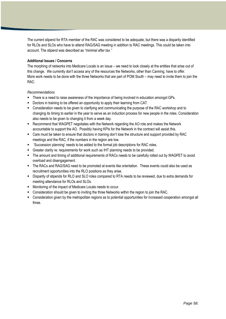The current stipend for RTA member of the RAC was considered to be adequate, but there was a disparity identified for RLOs and SLOs who have to attend RAG/SAG meeting in addition to RAC meetings. This could be taken into account. The stipend was described as *"minimal after tax."*

## **Additional Issues / Concerns**

The morphing of networks into Medicare Locals is an issue – we need to look closely at the entities that arise out of this change. We currently don"t access any of the resources the Networks, other than Canning, have to offer. More work needs to be done with the three Networks that are part of POM South – may need to invite them to join the RAC.

- There is a need to raise awareness of the importance of being involved in education amongst GPs.
- Doctors in training to be offered an opportunity to apply their learning from CAT.
- Consideration needs to be given to clarifying and communicating the purpose of the RAC workshop and to changing its timing to earlier in the year to serve as an induction process for new people in the roles. Consideration also needs to be given to changing it from a week day.
- Recommend that WAGPET negotiates with the Network regarding the AO role and makes the Network accountable to support the AO. Possibly having KPIs for the Network in the contract will assist this.
- Care must be taken to ensure that doctors in training don"t lose the structure and support provided by RAC meetings and the RAC, if the numbers in the region are low.
- "Succession planning" needs to be added to the formal job descriptions for RAC roles.
- Greater clarity re: requirements for work such as IHT planning needs to be provided.
- The amount and timing of additional requirements of RACs needs to be carefully rolled out by WAGPET to avoid overload and disengagement.
- The RACs and RAG/SAG need to be promoted at events like orientation. These events could also be used as recruitment opportunities into the RLO positions as they arise.
- Disparity of stipends for RLO and SLO roles compared to RTA needs to be reviewed, due to extra demands for meeting attendance for RLOs and SLOs.
- Monitoring of the impact of Medicare Locals needs to occur.
- Consideration should be given to inviting the three Networks within the region to join the RAC.
- Consideration given by the metropolitan regions as to potential opportunities for increased cooperation amongst all three.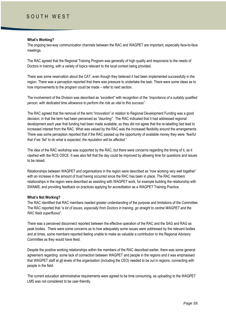## **What's Working?**

The ongoing two-way communication channels between the RAC and WAGPET are important, especially face-to-face meetings.

The RAC agreed that the Regional Training Program was generally of high quality and responsive to the needs of Doctors in training, with a variety of topics relevant to the local context being provided.

There was some reservation about the CAT, even though they believed it had been implemented successfully in the region. There was a perception reported that there was pressure to undertake the task. There were some ideas as to how improvements to the program could be made – refer to next section.

The involvement of the Division was described as *"excellent"* with recognition of the *"importance of a suitably qualified person, with dedicated time allowance to perform the role as vital to this success".* 

The RAC agreed that the removal of the term "innovation" in relation to Regional Development Funding was a good decision, in that the term had been perceived as "*daunting".* The RAC indicated that it had addressed regional development each year that funding had been made available, so they did not agree that the re-labelling had lead to increased interest from the RAC. What was valued by the RAC was the increased flexibility around the arrangements. There was some perception reported that if the RAC passed up the opportunity of available money they were *"fearful that if we "fail" to do what is expected, the reputation will be affected."*

The idea of the RAC workshop was supported by the RAC, but there were concerns regarding the timing of it, as it clashed with the RCS OSCE. It was also felt that the day could be improved by allowing time for questions and issues to be raised.

Relationships between WAGPET and organisations in the region were described as "now working very well together" with an increase in the amount of trust having occurred since the RAC has been in place. The RAC members' relationships in the region were described as assisting with WAGPET work, for example building the relationship with SWAMS; and providing feedback on practices applying for accreditation as a WAGPET Training Practice.

#### **What's Not Working?**

The RAC identified that RAC members needed greater understanding of the purpose and limitations of the Committee. The RAC reported that *"a lot of issues, especially from Doctors in training, go straight to central WAGPET and the RAC feels superfluous".*

There was a perceived disconnect reported between the effective operation of the RAC and the SAG and RAG as peak bodies. There were some concerns as to how adequately some issues were addressed by the relevant bodies and at times, some members reported feeling unable to make as valuable a contribution to the Regional Advisory Committee as they would have liked.

Despite the positive working relationships within the members of the RAC described earlier, there was some general agreement regarding some lack of connection between WAGPET and people in the regions and it was emphasised that WAGPET staff at all levels of the organisation (including the CEO) needed to be out in regions, connecting with people in the field.

The current education administrative requirements were agreed to be time consuming, as uploading to the WAGPET LMS was not considered to be user-friendly.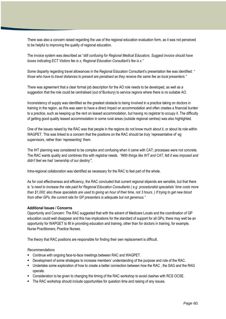There was also a concern raised regarding the use of the regional education evaluation form, as it was not perceived to be helpful to improving the quality of regional education.

The invoice system was described as "*still confusing for Regional Medical Educators. Suggest invoice should have boxes indicating ECT Visitors fee is x; Regional Education Consultant"s fee is x."*

Some disparity regarding travel allowances in the Regional Education Consultant"s presentation fee was identified: *" those who have to travel distances to present are penalised as they receive the same fee as local presenters."*

There was agreement that a clear formal job description for the AO role needs to be developed, as well as a suggestion that the role could be centralised (out of Bunbury) to service regions where there is no suitable AO.

Inconsistency of supply was identified as the greatest obstacle to being involved in a practice taking on doctors in training in the region, as this was seen to have a direct impact on accommodation and often creates a financial burden to a practice, such as keeping up the rent on leased accommodation, but having no registrar to occupy it. The difficulty of getting good quality leased accommodation in some rural areas (outside regional centres) was also highlighted.

One of the issues raised by the RAC was that people in the regions do not know much about it, or about its role within WAGPET. This was linked to a concern that the positions on the RAC should be truly 'representative of' eg supervisors, rather than 'representing' them.

The IHT planning was considered to be complex and confusing when it came with CAT; processes were not concrete. The RAC wants quality and combines this with registrar needs. *"With things like IHT and CAT, felt it was imposed and didn"t feel we had "ownership of our destiny"".*

Intra-regional collaboration was identified as necessary for the RAC to feel part of the whole.

As for cost effectiveness and efficiency, the RAC concluded that current regional stipends are sensible, but that there is *"a need to increase the rate paid for Regional Education Consultants ( e.g proceduralist specialists" time costs more than \$1,000; also these specialists are used to giving an hour of their time, not 3 hours. ) If trying to get new blood from other GPs, the current rate for GP presenters is adequate but not generous."*

#### **Additional Issues / Concerns**

Opportunity and Concern: The RAC suggested that with the advent of Medicare Locals and the coordination of GP education could well disappear and this has implications for the standard of support for all GPs; there may well be an opportunity for WAPGET to fill in providing education and training, other than for doctors in training, for example, Nurse Practitioners; Practice Nurses.

The theory that RAC positions are responsible for finding their own replacement is difficult.

- Continue with ongoing face-to-face meetings between RAC and WAGPET.
- Development of some strategies to increase members" understanding of the purpose and role of the RAC.
- Undertake some exploration of how to create a better connection between how the RAC , the SAG and the RAG operate.
- Consideration to be given to changing the timing of the RAC workshop to avoid clashes with RCS OCSE.
- The RAC workshop should include opportunities for question time and raising of any issues.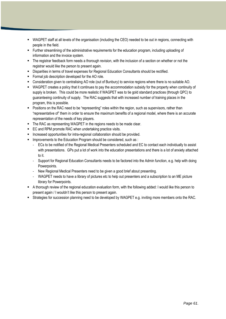- WAGPET staff at all levels of the organisation (including the CEO) needed to be out in regions, connecting with people in the field.
- Further streamlining of the administrative requirements for the education program, including uploading of information and the invoice system.
- The registrar feedback form needs a thorough revision, with the inclusion of a section on whether or not the registrar would like the person to present again.
- Disparities in terms of travel expenses for Regional Education Consultants should be rectified.
- **Formal job description developed for the AO role.**
- Consideration given to centralising AO role (out of Bunbury) to service regions where there is no suitable AO.
- WAGPET creates a policy that it continues to pay the accommodation subsidy for the property when continuity of supply is broken. This could be more realistic if WAGPET was to tie gold standard practices (through QPC) to guaranteeing continuity of supply. The RAC suggests that with increased number of training places in the program, this is possible.
- **Positions on the RAC need to be "representing" roles within the region, such as supervisors, rather than** "representative of" them in order to ensure the maximum benefits of a regional model, where there is an accurate representation of the needs of key players.
- The RAC as representing WAGPET in the regions needs to be made clear.
- **EC and RPM promote RAC when undertaking practice visits.**
- **Increased opportunities for intra-regional collaboration should be provided.**
- **IMPROXED** 1 Improvements to the Education Program should be considered, such as :
	- ECs to be notified of the Regional Medical Presenters scheduled and EC to contact each individually to assist with presentations. GPs put a lot of work into the education presentations and there is a lot of anxiety attached to it.
	- Support for Regional Education Consultants needs to be factored into the Admin function, e.g. help with doing Powerpoints.
	- New Regional Medical Presenters need to be given a good brief about presenting.
	- WAGPET needs to have a library of pictures etc to help out presenters and a subscription to an ME picture library for Powerpoints.
- A thorough review of the regional education evaluation form, with the following added: I would like this person to present again / I wouldn"t like this person to present again.
- Strategies for succession planning need to be developed by WAGPET e.g. inviting more members onto the RAC.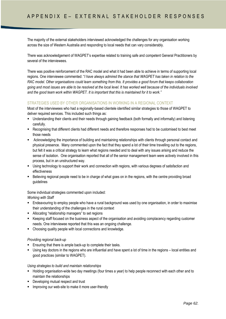A P  $\sim$  E  $\sim$  E  $\sim$  E  $\sim$  E  $\sim$  E  $\sim$  E  $\sim$  E  $\sim$  E  $\sim$  E  $\sim$  E  $\sim$  E  $\sim$  E  $\sim$  E  $\sim$  E  $\sim$  E  $\sim$  E  $\sim$ 

The majority of the external stakeholders interviewed acknowledged the challenges for any organisation working across the size of Western Australia and responding to local needs that can vary considerably.

There was acknowledgement of WAGPET"s expertise related to training safe and competent General Practitioners by several of the interviewees.

There was positive reinforcement of the RAC model and what it had been able to achieve in terms of supporting local regions. One interviewee commented: "*I have always admired the stance that WAGPET has taken in relation to the RAC model. Other organisations could learn something from this. It provides a good forum that keeps collaboration going and most issues are able to be resolved at the local level. It has worked well because of the individuals involved and the good team work within WAGPET. It is important that this is maintained for it to work."*

## STRATEGIES USED BY OTHER ORGANISATIONS IN WORKING IN A REGIONAL CONTEXT

Most of the interviewees who had a regionally-based clientele identified similar strategies to those of WAGPET to deliver required services. This included such things as:

- Understanding their clients and their needs through gaining feedback (both formally and informally) and listening carefully.
- Recognising that different clients had different needs and therefore responses had to be customised to best meet those needs
- Acknowledging the importance of building and maintaining relationships with clients through personal contact and physical presence. Many commented upon the fact that they spend a lot of their time travelling out to the regions, but felt it was a critical strategy to learn what regions needed and to deal with any issues arising and reduce the sense of isolation. One organisation reported that all of the senior management team were actively involved in this process, but in an unstructured way.
- Using technology to support their work and connection with regions, with various degrees of satisfaction and effectiveness
- Believing regional people need to be in charge of what goes on in the regions, with the centre providing broad guidelines

Some individual strategies commented upon included: *Working with Staff*

- Endeavouring to employ people who have a rural background was used by one organisation, in order to maximise their understanding of the challenges in the rural context
- Allocating "relationship managers" to set regions
- Keeping staff focused on the business aspect of the organisation and avoiding complacency regarding customer needs. One interviewee reported that this was an ongoing challenge.
- Choosing quality people with local connections and knowledge.

## *Providing regional back-up*

- **Ensuring that there is ample back-up to complete their tasks.**
- Using key doctors in the regions who are influential and have spent a lot of time in the regions local entities and good practices (similar to WAGPET).

*Using strategies to build and maintain relationships*

- Holding organisation-wide two day meetings (four times a year) to help people reconnect with each other and to maintain the relationships
- Developing mutual respect and trust
- **IMPROVIGUATE:** Improving our web-site to make it more user-friendly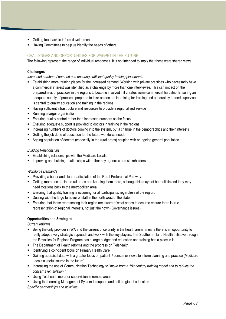- Getting feedback to inform development
- Having Committees to help us identify the needs of others.

## CHALLENGES AND OPPORTUNITIES FOR WAGPET IN THE FUTURE

The following represent the range of individual responses. It is not intended to imply that these were shared views.

## **Challenges**

*Increased numbers / demand and ensuring sufficient quality training placements* 

- Establishing more training places for the increased demand. Working with private practices who necessarily have a commercial interest was identified as a challenge by more than one interviewee. This can impact on the preparedness of practices in the regions to become involved if it creates some commercial hardship. Ensuring an adequate supply of practices prepared to take on doctors in training for training and adequately trained supervisors is central to quality education and training in the regions.
- Having sufficient infrastructure and resources to provide a regionalised service
- Running a larger organisation
- Ensuring quality control rather than increased numbers as the focus
- Ensuring adequate support is provided to doctors in training in the regions
- Increasing numbers of doctors coming into the system, but a change in the demographics and their interests
- **EXECT** Getting the job done of education for the future workforce needs
- Ageing population of doctors (especially in the rural areas) coupled with an ageing general population.

## *Building Relationships*

- **Establishing relationships with the Medicare Locals**
- **IMPROVING and building relationships with other key agencies and stakeholders.**

## *Workforce Demands*

- **Providing a better and clearer articulation of the Rural Preferential Pathway**
- Getting more doctors into rural areas and keeping them there, although this may not be realistic and they may need rotations back to the metropolitan area
- **Ensuring that quality training is occurring for all participants, regardless of the region.**
- **•** Dealing with the large turnover of staff in the north west of the state
- Ensuring that those representing their region are aware of what needs to occur to ensure there is true representation of regional interests, not just their own (Governance issues).

## **Opportunities and Strategies**

*Current reforms*

- Being the only provider in WA and the current uncertainty in the health arena, means there is an opportunity to really adopt a very strategic approach and work with the key players. The Southern Inland Health Initiative through the Royalties for Regions Program has a large budget and education and training has a place in it.
- The Department of Health reforms and the progress on Telehealth
- **IDENTIFY IDENT** Identifying a coincident focus on Primary Health Care
- Gaining appraisal data with a greater focus on patient / consumer views to inform planning and practice (Medicare Locals a useful source in the future)
- Increasing the use of Communication Technology to "*move from a 19th century training model and to reduce the concerns re: isolation."*
- **Using Telehealth more for supervision in remote areas**
- Using the Learning Management System to support and build regional education.

*Specific partnerships and activities*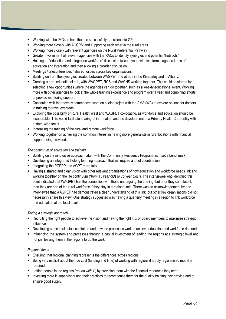- Working with the IMGs to help them to successfully transition into GPs
- Working more closely with ACCRM and supporting each other in the rural areas
- Working more closely with relevant agencies on the Rural Preferential Pathway
- Greater involvement of relevant agencies with the RACs to identify synergies and potential "hotspots".
- Holding an "education and integration workforce" discussion twice a year, with two formal agenda items of education and integration and then allowing a broader discussion.
- Meetings / teleconferences / shared values across key organisations.
- Building on from the synergies created between WAGPET and others in the Kimberley and in Albany.
- Creating a rural educational hub, with WAGPET, RCS and WACHS working together. This could be started by selecting a few opportunities where the agencies can do together, such as a weekly educational event. Working more with other agencies to look at the whole training experience and program over a year and combining efforts to provide mentoring support.
- Continuing with the recently commenced work on a joint project with the AMA (WA) to explore options for doctors in training to travel overseas
- Exploring the possibility of Rural Health West and WAGPET co-locating, as workforce and education should be inseparable. This would facilitate sharing of information and the development of a Primary Health Care entity with a state-wide focus.
- **Increasing the training of the rural and remote workforce**
- Working together on achieving the common interest in having more generalists in rural locations with financial support being provided.

## *The continuum of education and training*

- Building on the innovative approach taken with the Community Residency Program, as it set a benchmark
- Developing an integrated lifelong learning approach that will require a lot of coordination
- Integrating the PGPPP and AGPT more fully
- $\blacksquare$  Having a shared and clear vision with other relevant organisations of how education and workforce needs link and working together on the life continuum *("from 15 year olds to 75 year olds"*). The interviewee who identified this point indicated that WAGPET has the connection with those undergoing the training, but after they complete it, then they are part of the rural workforce if they stay in a regional role. There was an acknowledgement by one interviewee that WAGPET had demonstrated a clear understanding of this link, but other key organisations did not necessarily share this view. One strategy suggested was having a quarterly meeting in a region to link workforce and education at the local level.

## *Taking a strategic approach*

- **Recruiting the right people to achieve the vision and having the right mix of Board members to maximise strategic** influence
- Developing some intellectual capital around how the processes work to achieve education and workforce demands
- **Influencing the system and processes through a capital investment of leading the regions at a strategic level and** not just leaving them in the regions to do the work.

## *Regional focus*

- **Ensuring that regional planning represents the differences across regions**
- Being very explicit about the true cost (funding and time) of working with regions if a truly regionalised model is required.
- Letting people in the regions "*get on with it",* by providing them with the financial resources they need.
- Investing more in supervisors and their practices to recompense them for the quality training they provide and to ensure good supply.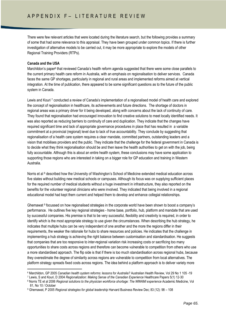There were few relevant articles that were located during the literature search, but the following provides a summary of some that had some relevance to this appraisal. They have been grouped under common topics. If there is further investigation of alternative models to be carried out, it may be more appropriate to explore the models of other Regional Training Providers (RTPs).

## **Canada and the USA**

**.** 

Marchildon's paper<sup>6</sup> that reviewed Canada's health reform agenda suggested that there were some close parallels to the current primary health care reform in Australia, with an emphasis on regionalisation to deliver services. Canada faces the same GP shortages, particularly in regional and rural areas and implemented reforms aimed at vertical integration. At the time of publication, there appeared to be some significant questions as to the future of the public system in Canada.

Lewis and Kouri 7 conducted a review of Canada's implementation of a regionalised model of health care and explored the concept of regionalisation in healthcare, its achievements and future directions. The shortage of doctors in regional areas was a primary driver for it being developed, along with concerns about the lack of continuity of care. They found that regionalisation had encouraged innovation to find creative solutions to meet locally identified needs. It was also reported as reducing barriers to continuity of care and duplication. They indicate that the changes have required significant time and lack of appropriate governance procedures in place that has resulted in a variable commitment at a provincial (regional) level due to lack of true accountability. They conclude by suggesting that regionalisation of a health care system requires a clear mandate, committed partners, outstanding leaders and a vision that mobilises providers and the public. They indicate that the challenge for the federal government in Canada is to decide what they think regionalisation should be and then leave the health authorities to get on with the job, being fully accountable. Although this is about an entire health system, these conclusions may have some application to supporting those regions who are interested in taking on a bigger role for GP education and training in Western Australia.

Norris et al <sup>8</sup> described how the University of Washington's School of Medicine extended medical education across five states without building new medical schools or campuses. Although its focus was on supplying sufficient places for the required number of medical students without a huge investment in infrastructure, they also reported on the benefits for the volunteer regional clinicians who were involved. They indicated that being involved in a regional educational model had kept them current and helped them to develop and enhance collegial relationships.

Ghemawat <sup>9</sup> focussed on how regionalised strategies in the corporate world have been shown to boost a company's performance. He outlines five key regional strategies - home base, portfolio, hub, platform and mandate that are used by successful companies. His premise is that to be very successful, flexibility and creativity is required, in order to identify which is the most appropriate strategy to use given the circumstances. When describing the hub strategy, he indicates that multiple hubs can be very independent of one another and the more the regions differ in their requirements, the weaker the rationale for hubs to share resources and policies. He indicates that the challenge in implementing a hub strategy is achieving the right balance between customisation and standardisation. He suggests that companies that are too responsive to inter-regional variation risk increasing costs or sacrificing too many opportunities to share costs across regions and therefore can become vulnerable to competition from others who use a more standardised approach. The flip side is that if there is too much standardisation across regional hubs, because they overestimate the degree of similarity across regions are vulnerable to competition from local alternatives. The platform strategy spreads fixed costs across regions. The idea behind a platform approach is to deliver variety more

<sup>6</sup> Marchildon, GP 2005 *Canadian health system reforms: lessons for Australia?* Australian Health Review, Vol 29 No 1 105 -19

<sup>7</sup> Lewis, S and Kouri, D 2004 *Regionalization: Making Sense of the Canadian Experience* Healthcare Papers 5(1) 12-30

<sup>&</sup>lt;sup>8</sup> Norris TE et al 2006 *Regional solutions to the physician workforce shortage: The WWAMI experience Academic Medicine, Vol* 81, No 10 / October

<sup>9</sup> Ghemawat, P 2005 *Regional strategies for global leadership* Harvard Business Review Dec; 83 (12): 98 – 108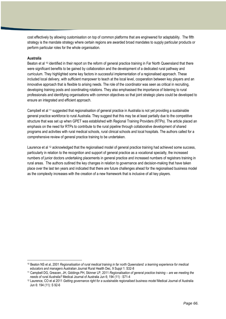cost effectively by allowing customisation on top of common platforms that are engineered for adaptability. The fifth strategy is the mandate strategy where certain regions are awarded broad mandates to supply particular products or perform particular roles for the whole organisation.

#### **Australia**

1

Beaton et al <sup>10</sup> identified in their report on the reform of general practice training in Far North Queensland that there were significant benefits to be gained by collaboration and the development of a dedicated rural pathway and curriculum. They highlighted some key factors in successful implementation of a regionalised approach. These included local delivery, with sufficient manpower to teach at the local level, cooperation between key players and an innovative approach that is flexible to arising needs. The role of the coordinator was seen as critical in recruiting, developing training posts and coordinating rotations. They also emphasised the importance of listening to rural professionals and identifying organisations with common objectives so that joint strategic plans could be developed to ensure an integrated and efficient approach.

Campbell et al <sup>11</sup> suggested that regionalisation of general practice in Australia is not vet providing a sustainable general practice workforce to rural Australia. They suggest that this may be at least partially due to the competitive structure that was set up when GPET was established with Regional Training Providers (RTPs). The article placed an emphasis on the need for RTPs to contribute to the rural pipeline through collaborative development of shared programs and activities with rural medical schools, rural clinical schools and local hospitals. The authors called for a comprehensive review of general practice training to be undertaken.

Laurence et al <sup>12</sup> acknowledged that the regionalised model of general practice training had achieved some success, particularly in relation to the recognition and support of general practice as a vocational specialty, the increased numbers of junior doctors undertaking placements in general practice and increased numbers of registrars training in rural areas. The authors outlined the key changes in relation to governance and decision-making that have taken place over the last ten years and indicated that there are future challenges ahead for the regionalised business model as the complexity increases with the creation of a new framework that is inclusive of all key players.

<sup>10</sup> Beaton NS et al, 2001 *Regionalisation of rural medical training in far north Queensland: a learning experience for medical educators and managers* Australian Journal Rural Health Dec, 9 Suppl 1: S32-8

<sup>11</sup> Campbell DG, Greacen, JH, Giddings PH, Skinner LP, 2011 *Regionalisation of general practice training – are we meeting the needs of rural Australia?* Medical Journal of Australia Jun 6; 194 (11) : S71-4

<sup>12</sup> Laurence, CO et al 2011 *Getting governance right for a sustainable regionalised business model* Medical Journal of Australia Jun 6: 194 (11): S 92-6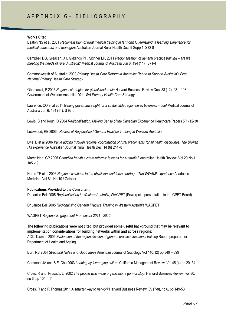# A P P E N D I X G – B I B L I O G R A P H Y

#### **Works Cited**

Beaton NS et al, 2001 *Regionalisation of rural medical training in far north Queensland: a learning experience for medical educators and managers* Australian Journal Rural Health Dec, 9 Supp 1: S32-8

Campbell DG, Greacen, JH, Giddings PH, Skinner LP, 2011 *Regionalisation of general practice training – are we meeting the needs of rural Australia?* Medical Journal of Australia Jun 6; 194 (11) : S71-4

Commonwealth of Australia, 2009 *Primary Health Care Reform in Australia: Report to Support Australia"s First National Primary Health Care Strategy*

Ghemawat, P 2005 *Regional strategies for global leadership* Harvard Business Review Dec; 83 (12): 98 – 108 Government of Western Australia, 2011 *WA Primary Health Care Strategy*

Laurence, CO et al 2011 *Getting governance right for a sustainable regionalised business model* Medical Journal of Australia Jun 6: 194 (11): S 92-6

Lewis, S and Kouri, D 2004 *Regionalisation: Making Sense of the Canadian Experience* Healthcare Papers 5(1) 12-30

Lockwood, RE 2006 *Review of Regionalised General Practice Training in Western Australia*

Lyle, D et al 2006 *Value adding through regional coordination of rural placements for all health disciplines: The Broken Hill experience* Australian Journal Rural Health Dec, 14 (6) 244 -8

Marchildon, GP 2005 *Canadian health system reforms: lessons for Australia?* Australian Health Review, Vol 29 No 1 105 -19

Norris TE et al 2006 *Regional solutions to the physician workforce shortage: The WWAMI experience* Academic Medicine, Vol 81, No 10 / October

#### **Publications Provided to the Consultant**

Dr Janice Bell 2005 *Regionalisation in Western Australia,* WAGPET (Powerpoint presentation to the GPET Board)

Dr Janice Bell 2005 *Regionalising General Practice Training in Western Australia* WAGPET

WAGPET *Regional Engagement Framework 2011 - 2012*

**The following publications were not cited, but provided some useful background that may be relevant to implementation considerations for building networks within and across regions:** ACIL Tasman 2005 *Evaluation of the regionalisation of general practice vocational training* Report prepared for

Department of Health and Ageing

Burt, RS 2004 *Structural Holes and Good Ideas* American Journal of Sociology Vol 110, (2) pp 349 – 399

Chatman, JA and S.E. Cha 2003 *Leading by leveraging culture* California Management Review, Vol 45 (4) pp 20 -34

Cross, R and Prusack, L 2002 *The people who make organizations go – or stop.* Harvard Business Review, vol 80, no 6, pp 104 – 11

Cross, R and R Thomas 2011 *A smarter way to network* Harvard Business Review, 89 (7-8), no 6, pp 149-53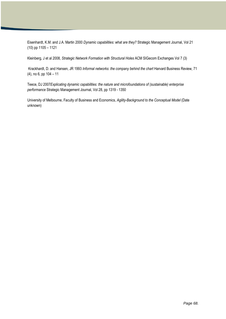Eisenhardt, K.M. and J.A. Martin 2000 *Dynamic capabilities: what are they?* Strategic Management Journal, Vol 21 (10) pp 1105 – 1121

Kleinberg, J et al 2008, *Strategic Network Formation with Structural Holes* ACM SIGecom Exchanges Vol 7 (3)

Krackhardt, D. and Hansen, JR 1993 *Informal networks: the company behind the chart* Harvard Business Review, 71 (4), no 6, pp 104 – 11

Teece, DJ 2007*Explicating dynamic capabilities: the nature and microfoundations of (sustainable) enterprise performance* Strategic Management Journal, Vol 28, pp 1319 - 1350

University of Melbourne, Faculty of Business and Economics, *Agility-Background to the Conceptual Model* (Date unknown)